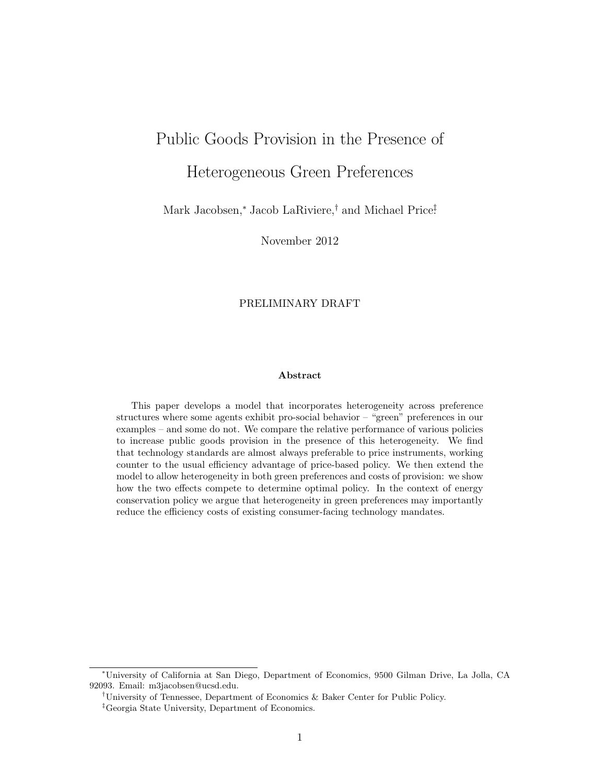# Public Goods Provision in the Presence of Heterogeneous Green Preferences

Mark Jacobsen,<sup>∗</sup> Jacob LaRiviere,† and Michael Price‡ .

November 2012

## PRELIMINARY DRAFT

#### Abstract

This paper develops a model that incorporates heterogeneity across preference structures where some agents exhibit pro-social behavior – "green" preferences in our examples – and some do not. We compare the relative performance of various policies to increase public goods provision in the presence of this heterogeneity. We find that technology standards are almost always preferable to price instruments, working counter to the usual efficiency advantage of price-based policy. We then extend the model to allow heterogeneity in both green preferences and costs of provision: we show how the two effects compete to determine optimal policy. In the context of energy conservation policy we argue that heterogeneity in green preferences may importantly reduce the efficiency costs of existing consumer-facing technology mandates.

<sup>∗</sup>University of California at San Diego, Department of Economics, 9500 Gilman Drive, La Jolla, CA 92093. Email: m3jacobsen@ucsd.edu.

<sup>†</sup>University of Tennessee, Department of Economics & Baker Center for Public Policy.

<sup>‡</sup>Georgia State University, Department of Economics.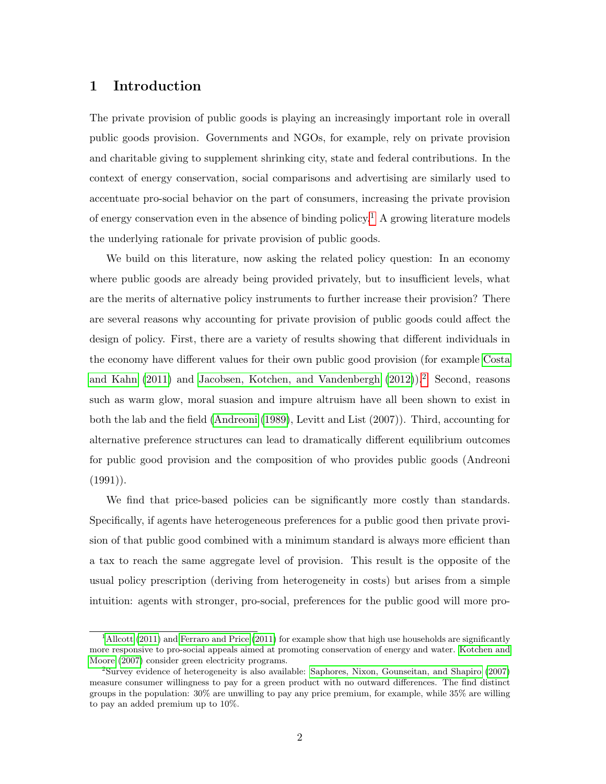## 1 Introduction

The private provision of public goods is playing an increasingly important role in overall public goods provision. Governments and NGOs, for example, rely on private provision and charitable giving to supplement shrinking city, state and federal contributions. In the context of energy conservation, social comparisons and advertising are similarly used to accentuate pro-social behavior on the part of consumers, increasing the private provision of energy conservation even in the absence of binding policy.<sup>[1](#page-1-0)</sup> A growing literature models the underlying rationale for private provision of public goods.

We build on this literature, now asking the related policy question: In an economy where public goods are already being provided privately, but to insufficient levels, what are the merits of alternative policy instruments to further increase their provision? There are several reasons why accounting for private provision of public goods could affect the design of policy. First, there are a variety of results showing that different individuals in the economy have different values for their own public good provision (for example [Costa](#page-21-0) [and Kahn](#page-21-0) [\(2011\)](#page-21-0) and [Jacobsen, Kotchen, and Vandenbergh](#page-21-1) [\(2012\)](#page-21-1)).[2](#page-1-1) Second, reasons such as warm glow, moral suasion and impure altruism have all been shown to exist in both the lab and the field [\(Andreoni](#page-21-2) [\(1989\)](#page-21-2), Levitt and List (2007)). Third, accounting for alternative preference structures can lead to dramatically different equilibrium outcomes for public good provision and the composition of who provides public goods (Andreoni  $(1991)$ .

We find that price-based policies can be significantly more costly than standards. Specifically, if agents have heterogeneous preferences for a public good then private provision of that public good combined with a minimum standard is always more efficient than a tax to reach the same aggregate level of provision. This result is the opposite of the usual policy prescription (deriving from heterogeneity in costs) but arises from a simple intuition: agents with stronger, pro-social, preferences for the public good will more pro-

<span id="page-1-0"></span><sup>&</sup>lt;sup>1</sup>[Allcott](#page-21-3) [\(2011\)](#page-21-4) and [Ferraro and Price](#page-21-4) (2011) for example show that high use households are significantly more responsive to pro-social appeals aimed at promoting conservation of energy and water. [Kotchen and](#page-21-5) [Moore](#page-21-5) [\(2007\)](#page-21-5) consider green electricity programs.

<span id="page-1-1"></span><sup>2</sup>Survey evidence of heterogeneity is also available: [Saphores, Nixon, Gounseitan, and Shapiro](#page-22-0) [\(2007\)](#page-22-0) measure consumer willingness to pay for a green product with no outward differences. The find distinct groups in the population: 30% are unwilling to pay any price premium, for example, while 35% are willing to pay an added premium up to 10%.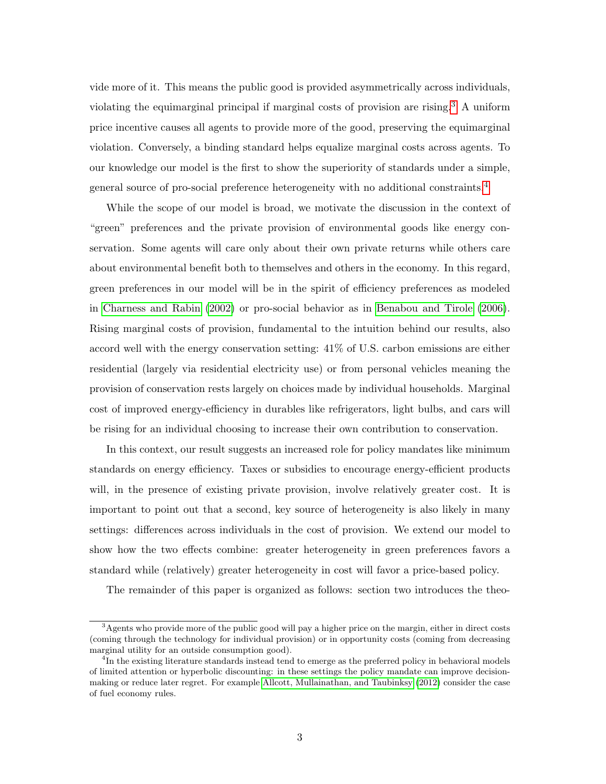vide more of it. This means the public good is provided asymmetrically across individuals, violating the equimarginal principal if marginal costs of provision are rising.[3](#page-2-0) A uniform price incentive causes all agents to provide more of the good, preserving the equimarginal violation. Conversely, a binding standard helps equalize marginal costs across agents. To our knowledge our model is the first to show the superiority of standards under a simple, general source of pro-social preference heterogeneity with no additional constraints.[4](#page-2-1)

While the scope of our model is broad, we motivate the discussion in the context of "green" preferences and the private provision of environmental goods like energy conservation. Some agents will care only about their own private returns while others care about environmental benefit both to themselves and others in the economy. In this regard, green preferences in our model will be in the spirit of efficiency preferences as modeled in [Charness and Rabin](#page-21-6) [\(2002\)](#page-21-6) or pro-social behavior as in [Benabou and Tirole](#page-21-7) [\(2006\)](#page-21-7). Rising marginal costs of provision, fundamental to the intuition behind our results, also accord well with the energy conservation setting: 41% of U.S. carbon emissions are either residential (largely via residential electricity use) or from personal vehicles meaning the provision of conservation rests largely on choices made by individual households. Marginal cost of improved energy-efficiency in durables like refrigerators, light bulbs, and cars will be rising for an individual choosing to increase their own contribution to conservation.

In this context, our result suggests an increased role for policy mandates like minimum standards on energy efficiency. Taxes or subsidies to encourage energy-efficient products will, in the presence of existing private provision, involve relatively greater cost. It is important to point out that a second, key source of heterogeneity is also likely in many settings: differences across individuals in the cost of provision. We extend our model to show how the two effects combine: greater heterogeneity in green preferences favors a standard while (relatively) greater heterogeneity in cost will favor a price-based policy.

The remainder of this paper is organized as follows: section two introduces the theo-

<span id="page-2-0"></span> $3A$ gents who provide more of the public good will pay a higher price on the margin, either in direct costs (coming through the technology for individual provision) or in opportunity costs (coming from decreasing marginal utility for an outside consumption good).

<span id="page-2-1"></span><sup>&</sup>lt;sup>4</sup>In the existing literature standards instead tend to emerge as the preferred policy in behavioral models of limited attention or hyperbolic discounting: in these settings the policy mandate can improve decisionmaking or reduce later regret. For example [Allcott, Mullainathan, and Taubinksy](#page-21-8) [\(2012\)](#page-21-8) consider the case of fuel economy rules.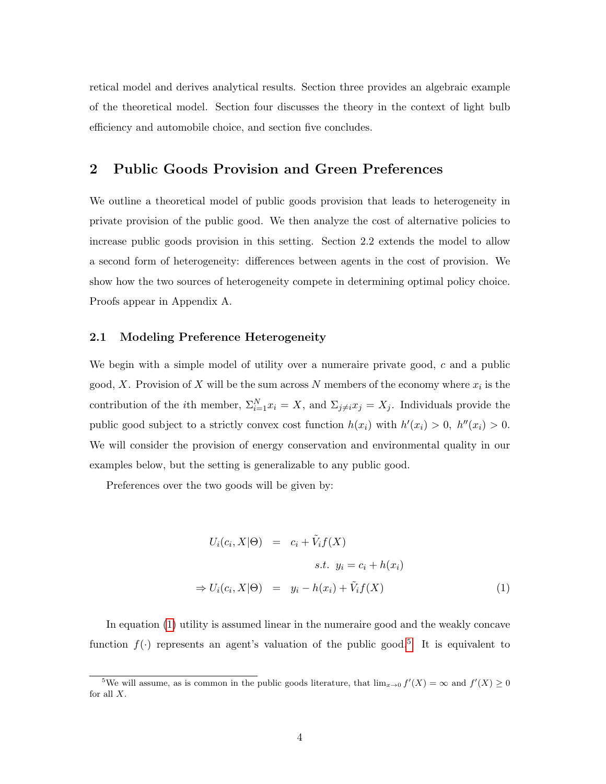retical model and derives analytical results. Section three provides an algebraic example of the theoretical model. Section four discusses the theory in the context of light bulb efficiency and automobile choice, and section five concludes.

# 2 Public Goods Provision and Green Preferences

We outline a theoretical model of public goods provision that leads to heterogeneity in private provision of the public good. We then analyze the cost of alternative policies to increase public goods provision in this setting. Section 2.2 extends the model to allow a second form of heterogeneity: differences between agents in the cost of provision. We show how the two sources of heterogeneity compete in determining optimal policy choice. Proofs appear in Appendix A.

## 2.1 Modeling Preference Heterogeneity

We begin with a simple model of utility over a numeraire private good, c and a public good, X. Provision of X will be the sum across N members of the economy where  $x_i$  is the contribution of the *i*th member,  $\Sigma_{i=1}^N x_i = X$ , and  $\Sigma_{j\neq i} x_j = X_j$ . Individuals provide the public good subject to a strictly convex cost function  $h(x_i)$  with  $h'(x_i) > 0$ ,  $h''(x_i) > 0$ . We will consider the provision of energy conservation and environmental quality in our examples below, but the setting is generalizable to any public good.

Preferences over the two goods will be given by:

<span id="page-3-0"></span>
$$
U_i(c_i, X | \Theta) = c_i + \tilde{V}_i f(X)
$$
  
s.t.  $y_i = c_i + h(x_i)$   

$$
\Rightarrow U_i(c_i, X | \Theta) = y_i - h(x_i) + \tilde{V}_i f(X)
$$
 (1)

In equation [\(1\)](#page-3-0) utility is assumed linear in the numeraire good and the weakly concave function  $f(\cdot)$  represents an agent's valuation of the public good.<sup>[5](#page-3-1)</sup> It is equivalent to

<span id="page-3-1"></span><sup>&</sup>lt;sup>5</sup>We will assume, as is common in the public goods literature, that  $\lim_{x\to 0} f'(X) = \infty$  and  $f'(X) \ge 0$ for all  $X$ .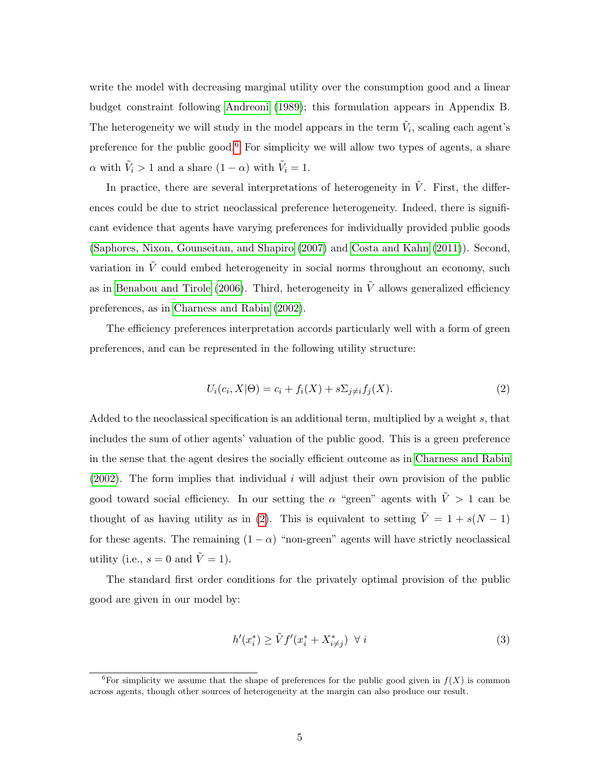write the model with decreasing marginal utility over the consumption good and a linear budget constraint following [Andreoni](#page-21-2) [\(1989\)](#page-21-2); this formulation appears in Appendix B. The heterogeneity we will study in the model appears in the term  $\tilde{V}_i$ , scaling each agent's preference for the public good.<sup>[6](#page-4-0)</sup> For simplicity we will allow two types of agents, a share  $\alpha$  with  $\tilde{V}_i > 1$  and a share  $(1 - \alpha)$  with  $\tilde{V}_i = 1$ .

In practice, there are several interpretations of heterogeneity in  $\tilde{V}$ . First, the differences could be due to strict neoclassical preference heterogeneity. Indeed, there is significant evidence that agents have varying preferences for individually provided public goods [\(Saphores, Nixon, Gounseitan, and Shapiro](#page-22-0) [\(2007\)](#page-22-0) and [Costa and Kahn](#page-21-0) [\(2011\)](#page-21-0)). Second, variation in  $\tilde{V}$  could embed heterogeneity in social norms throughout an economy, such as in [Benabou and Tirole](#page-21-7) [\(2006\)](#page-21-7). Third, heterogeneity in  $\tilde{V}$  allows generalized efficiency preferences, as in [Charness and Rabin](#page-21-6) [\(2002\)](#page-21-6).

The efficiency preferences interpretation accords particularly well with a form of green preferences, and can be represented in the following utility structure:

<span id="page-4-1"></span>
$$
U_i(c_i, X | \Theta) = c_i + f_i(X) + s \Sigma_{j \neq i} f_j(X). \tag{2}
$$

Added to the neoclassical specification is an additional term, multiplied by a weight s, that includes the sum of other agents' valuation of the public good. This is a green preference in the sense that the agent desires the socially efficient outcome as in [Charness and Rabin](#page-21-6)  $(2002)$ . The form implies that individual i will adjust their own provision of the public good toward social efficiency. In our setting the  $\alpha$  "green" agents with  $\tilde{V} > 1$  can be thought of as having utility as in [\(2\)](#page-4-1). This is equivalent to setting  $\tilde{V} = 1 + s(N - 1)$ for these agents. The remaining  $(1 - \alpha)$  "non-green" agents will have strictly neoclassical utility (i.e.,  $s = 0$  and  $\tilde{V} = 1$ ).

The standard first order conditions for the privately optimal provision of the public good are given in our model by:

<span id="page-4-2"></span>
$$
h'(x_i^*) \ge \tilde{V}f'(x_i^* + X_{i \ne j}^*) \quad \forall \ i
$$
\n<sup>(3)</sup>

<span id="page-4-0"></span><sup>&</sup>lt;sup>6</sup>For simplicity we assume that the shape of preferences for the public good given in  $f(X)$  is common across agents, though other sources of heterogeneity at the margin can also produce our result.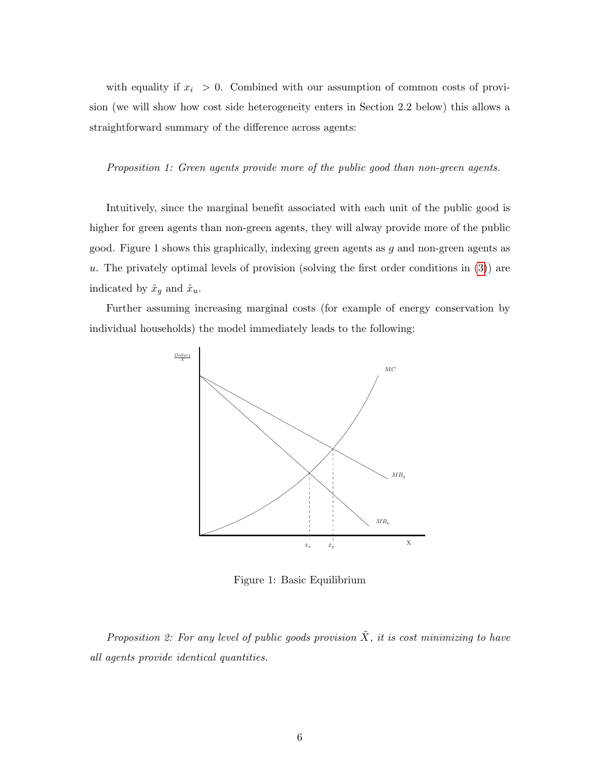with equality if  $x_i > 0$ . Combined with our assumption of common costs of provision (we will show how cost side heterogeneity enters in Section 2.2 below) this allows a straightforward summary of the difference across agents:

Proposition 1: Green agents provide more of the public good than non-green agents.

Intuitively, since the marginal benefit associated with each unit of the public good is higher for green agents than non-green agents, they will alway provide more of the public good. Figure 1 shows this graphically, indexing green agents as  $g$  and non-green agents as u. The privately optimal levels of provision (solving the first order conditions in  $(3)$ ) are indicated by  $\hat{x}_g$  and  $\hat{x}_u$ .

Further assuming increasing marginal costs (for example of energy conservation by individual households) the model immediately leads to the following:



Figure 1: Basic Equilibrium

Proposition 2: For any level of public goods provision  $\tilde{X}$ , it is cost minimizing to have all agents provide identical quantities.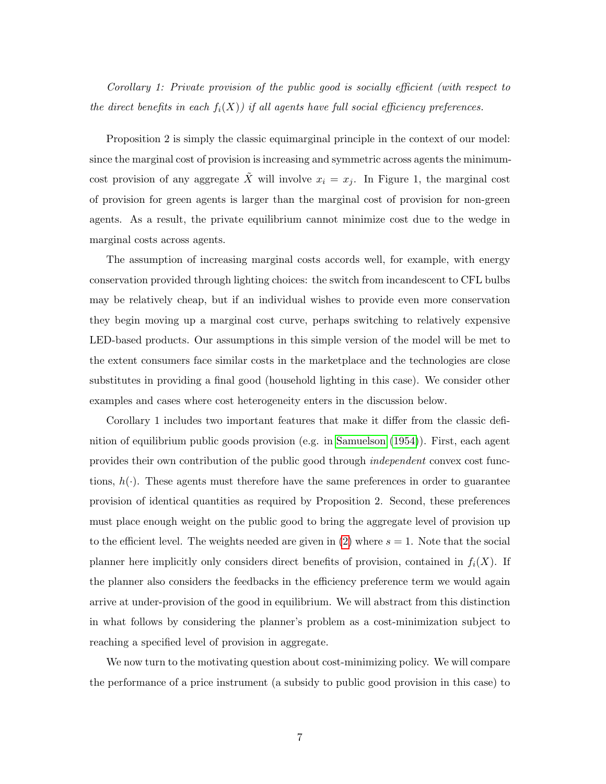Corollary 1: Private provision of the public good is socially efficient (with respect to the direct benefits in each  $f_i(X)$ ) if all agents have full social efficiency preferences.

Proposition 2 is simply the classic equimarginal principle in the context of our model: since the marginal cost of provision is increasing and symmetric across agents the minimumcost provision of any aggregate X will involve  $x_i = x_j$ . In Figure 1, the marginal cost of provision for green agents is larger than the marginal cost of provision for non-green agents. As a result, the private equilibrium cannot minimize cost due to the wedge in marginal costs across agents.

The assumption of increasing marginal costs accords well, for example, with energy conservation provided through lighting choices: the switch from incandescent to CFL bulbs may be relatively cheap, but if an individual wishes to provide even more conservation they begin moving up a marginal cost curve, perhaps switching to relatively expensive LED-based products. Our assumptions in this simple version of the model will be met to the extent consumers face similar costs in the marketplace and the technologies are close substitutes in providing a final good (household lighting in this case). We consider other examples and cases where cost heterogeneity enters in the discussion below.

Corollary 1 includes two important features that make it differ from the classic definition of equilibrium public goods provision (e.g. in [Samuelson](#page-22-1) [\(1954\)](#page-22-1)). First, each agent provides their own contribution of the public good through independent convex cost functions,  $h(\cdot)$ . These agents must therefore have the same preferences in order to guarantee provision of identical quantities as required by Proposition 2. Second, these preferences must place enough weight on the public good to bring the aggregate level of provision up to the efficient level. The weights needed are given in [\(2\)](#page-4-1) where  $s = 1$ . Note that the social planner here implicitly only considers direct benefits of provision, contained in  $f_i(X)$ . If the planner also considers the feedbacks in the efficiency preference term we would again arrive at under-provision of the good in equilibrium. We will abstract from this distinction in what follows by considering the planner's problem as a cost-minimization subject to reaching a specified level of provision in aggregate.

We now turn to the motivating question about cost-minimizing policy. We will compare the performance of a price instrument (a subsidy to public good provision in this case) to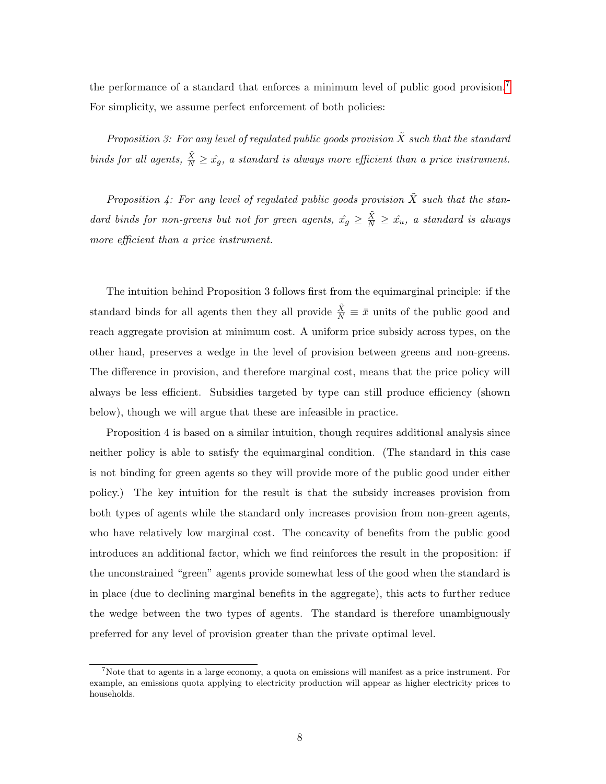the performance of a standard that enforces a minimum level of public good provision.<sup>[7](#page-7-0)</sup> For simplicity, we assume perfect enforcement of both policies:

Proposition 3: For any level of regulated public goods provision  $\tilde{X}$  such that the standard binds for all agents,  $\frac{\tilde{X}}{N} \geq \hat{x_g}$ , a standard is always more efficient than a price instrument.

Proposition 4: For any level of regulated public goods provision  $\tilde{X}$  such that the standard binds for non-greens but not for green agents,  $\hat{x_g} \geq \frac{\tilde{X}}{N} \geq \hat{x_u}$ , a standard is always more efficient than a price instrument.

The intuition behind Proposition 3 follows first from the equimarginal principle: if the standard binds for all agents then they all provide  $\frac{\tilde{X}}{N} \equiv \bar{x}$  units of the public good and reach aggregate provision at minimum cost. A uniform price subsidy across types, on the other hand, preserves a wedge in the level of provision between greens and non-greens. The difference in provision, and therefore marginal cost, means that the price policy will always be less efficient. Subsidies targeted by type can still produce efficiency (shown below), though we will argue that these are infeasible in practice.

Proposition 4 is based on a similar intuition, though requires additional analysis since neither policy is able to satisfy the equimarginal condition. (The standard in this case is not binding for green agents so they will provide more of the public good under either policy.) The key intuition for the result is that the subsidy increases provision from both types of agents while the standard only increases provision from non-green agents, who have relatively low marginal cost. The concavity of benefits from the public good introduces an additional factor, which we find reinforces the result in the proposition: if the unconstrained "green" agents provide somewhat less of the good when the standard is in place (due to declining marginal benefits in the aggregate), this acts to further reduce the wedge between the two types of agents. The standard is therefore unambiguously preferred for any level of provision greater than the private optimal level.

<span id="page-7-0"></span><sup>&</sup>lt;sup>7</sup>Note that to agents in a large economy, a quota on emissions will manifest as a price instrument. For example, an emissions quota applying to electricity production will appear as higher electricity prices to households.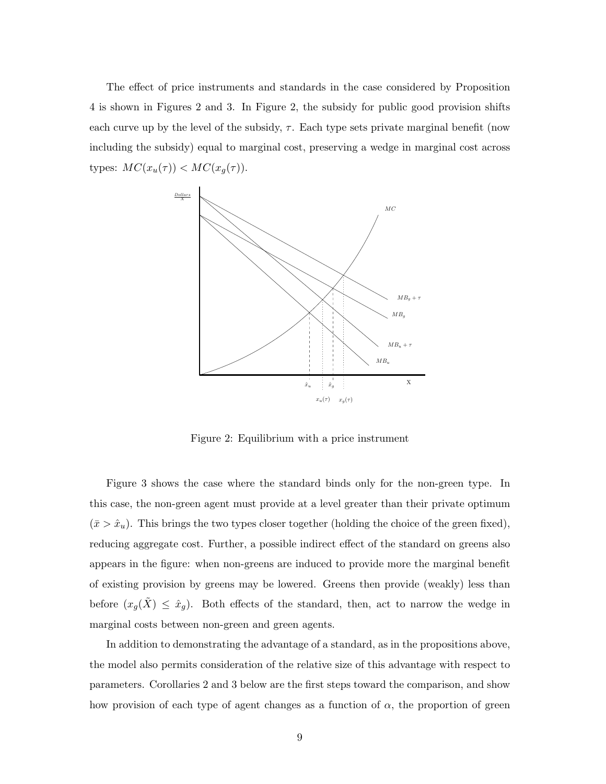The effect of price instruments and standards in the case considered by Proposition 4 is shown in Figures 2 and 3. In Figure 2, the subsidy for public good provision shifts each curve up by the level of the subsidy,  $\tau$ . Each type sets private marginal benefit (now including the subsidy) equal to marginal cost, preserving a wedge in marginal cost across types:  $MC(x_u(\tau)) < MC(x_g(\tau))$ .



Figure 2: Equilibrium with a price instrument

Figure 3 shows the case where the standard binds only for the non-green type. In this case, the non-green agent must provide at a level greater than their private optimum  $(\bar{x} > \hat{x}_u)$ . This brings the two types closer together (holding the choice of the green fixed), reducing aggregate cost. Further, a possible indirect effect of the standard on greens also appears in the figure: when non-greens are induced to provide more the marginal benefit of existing provision by greens may be lowered. Greens then provide (weakly) less than before  $(x_g(\tilde{X}) \leq \hat{x}_g)$ . Both effects of the standard, then, act to narrow the wedge in marginal costs between non-green and green agents.

In addition to demonstrating the advantage of a standard, as in the propositions above, the model also permits consideration of the relative size of this advantage with respect to parameters. Corollaries 2 and 3 below are the first steps toward the comparison, and show how provision of each type of agent changes as a function of  $\alpha$ , the proportion of green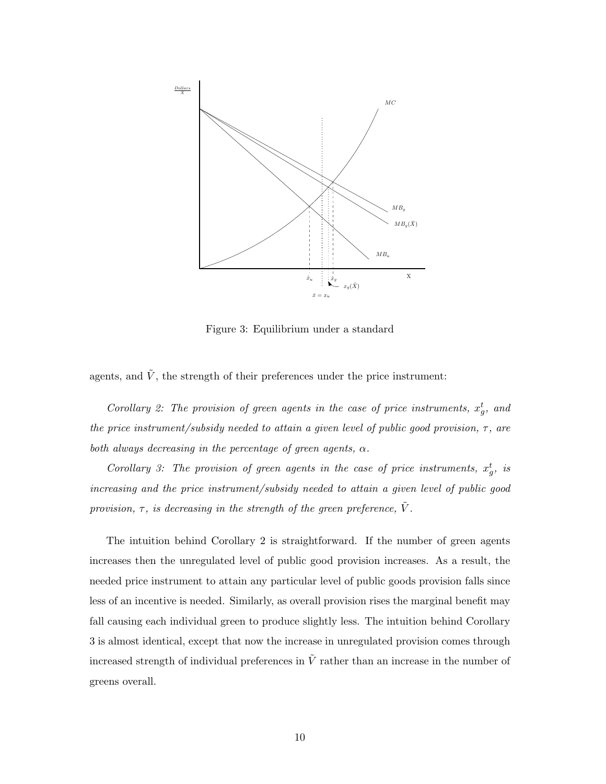

Figure 3: Equilibrium under a standard

agents, and  $\tilde{V}$ , the strength of their preferences under the price instrument:

Corollary 2: The provision of green agents in the case of price instruments,  $x_g^t$ , and the price instrument/subsidy needed to attain a given level of public good provision,  $\tau$ , are both always decreasing in the percentage of green agents,  $\alpha$ .

Corollary 3: The provision of green agents in the case of price instruments,  $x_g^t$ , is increasing and the price instrument/subsidy needed to attain a given level of public good provision,  $\tau$ , is decreasing in the strength of the green preference,  $\tilde{V}$ .

The intuition behind Corollary 2 is straightforward. If the number of green agents increases then the unregulated level of public good provision increases. As a result, the needed price instrument to attain any particular level of public goods provision falls since less of an incentive is needed. Similarly, as overall provision rises the marginal benefit may fall causing each individual green to produce slightly less. The intuition behind Corollary 3 is almost identical, except that now the increase in unregulated provision comes through increased strength of individual preferences in  $\tilde{V}$  rather than an increase in the number of greens overall.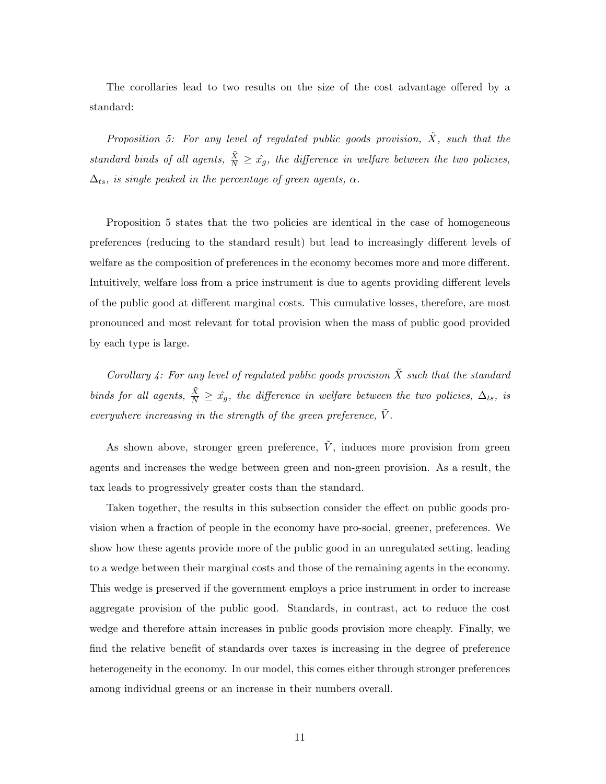The corollaries lead to two results on the size of the cost advantage offered by a standard:

Proposition 5: For any level of regulated public goods provision,  $\tilde{X}$ , such that the standard binds of all agents,  $\frac{\tilde{X}}{N} \geq \hat{x_g}$ , the difference in welfare between the two policies,  $\Delta_{ts}$ , is single peaked in the percentage of green agents,  $\alpha$ .

Proposition 5 states that the two policies are identical in the case of homogeneous preferences (reducing to the standard result) but lead to increasingly different levels of welfare as the composition of preferences in the economy becomes more and more different. Intuitively, welfare loss from a price instrument is due to agents providing different levels of the public good at different marginal costs. This cumulative losses, therefore, are most pronounced and most relevant for total provision when the mass of public good provided by each type is large.

Corollary 4: For any level of regulated public goods provision  $\tilde{X}$  such that the standard binds for all agents,  $\frac{\tilde{X}}{N} \geq \hat{x}_g$ , the difference in welfare between the two policies,  $\Delta_{ts}$ , is everywhere increasing in the strength of the green preference,  $\tilde{V}$ .

As shown above, stronger green preference,  $\tilde{V}$ , induces more provision from green agents and increases the wedge between green and non-green provision. As a result, the tax leads to progressively greater costs than the standard.

Taken together, the results in this subsection consider the effect on public goods provision when a fraction of people in the economy have pro-social, greener, preferences. We show how these agents provide more of the public good in an unregulated setting, leading to a wedge between their marginal costs and those of the remaining agents in the economy. This wedge is preserved if the government employs a price instrument in order to increase aggregate provision of the public good. Standards, in contrast, act to reduce the cost wedge and therefore attain increases in public goods provision more cheaply. Finally, we find the relative benefit of standards over taxes is increasing in the degree of preference heterogeneity in the economy. In our model, this comes either through stronger preferences among individual greens or an increase in their numbers overall.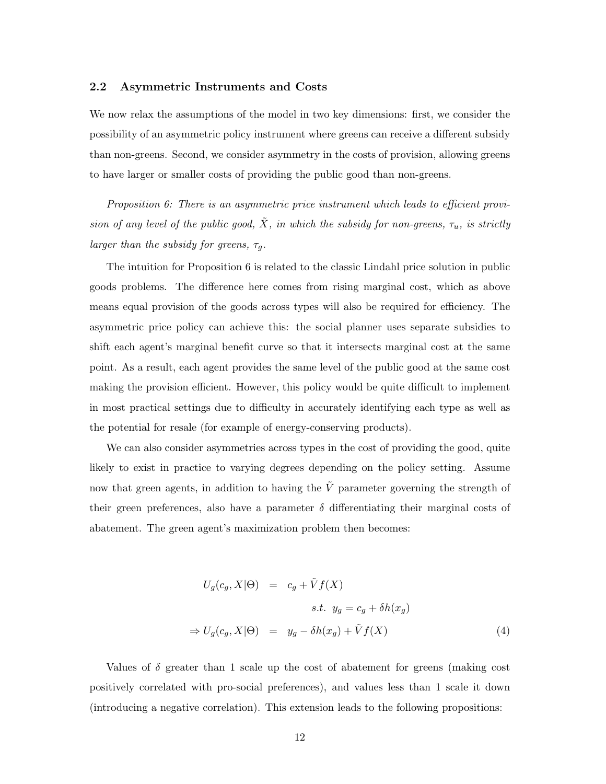## 2.2 Asymmetric Instruments and Costs

We now relax the assumptions of the model in two key dimensions: first, we consider the possibility of an asymmetric policy instrument where greens can receive a different subsidy than non-greens. Second, we consider asymmetry in the costs of provision, allowing greens to have larger or smaller costs of providing the public good than non-greens.

Proposition 6: There is an asymmetric price instrument which leads to efficient provision of any level of the public good,  $\tilde{X}$ , in which the subsidy for non-greens,  $\tau_u$ , is strictly larger than the subsidy for greens,  $\tau_g$ .

The intuition for Proposition 6 is related to the classic Lindahl price solution in public goods problems. The difference here comes from rising marginal cost, which as above means equal provision of the goods across types will also be required for efficiency. The asymmetric price policy can achieve this: the social planner uses separate subsidies to shift each agent's marginal benefit curve so that it intersects marginal cost at the same point. As a result, each agent provides the same level of the public good at the same cost making the provision efficient. However, this policy would be quite difficult to implement in most practical settings due to difficulty in accurately identifying each type as well as the potential for resale (for example of energy-conserving products).

We can also consider asymmetries across types in the cost of providing the good, quite likely to exist in practice to varying degrees depending on the policy setting. Assume now that green agents, in addition to having the  $\tilde{V}$  parameter governing the strength of their green preferences, also have a parameter  $\delta$  differentiating their marginal costs of abatement. The green agent's maximization problem then becomes:

$$
U_g(c_g, X | \Theta) = c_g + \tilde{V}f(X)
$$
  
s.t.  $y_g = c_g + \delta h(x_g)$   

$$
\Rightarrow U_g(c_g, X | \Theta) = y_g - \delta h(x_g) + \tilde{V}f(X)
$$
 (4)

Values of  $\delta$  greater than 1 scale up the cost of abatement for greens (making cost positively correlated with pro-social preferences), and values less than 1 scale it down (introducing a negative correlation). This extension leads to the following propositions: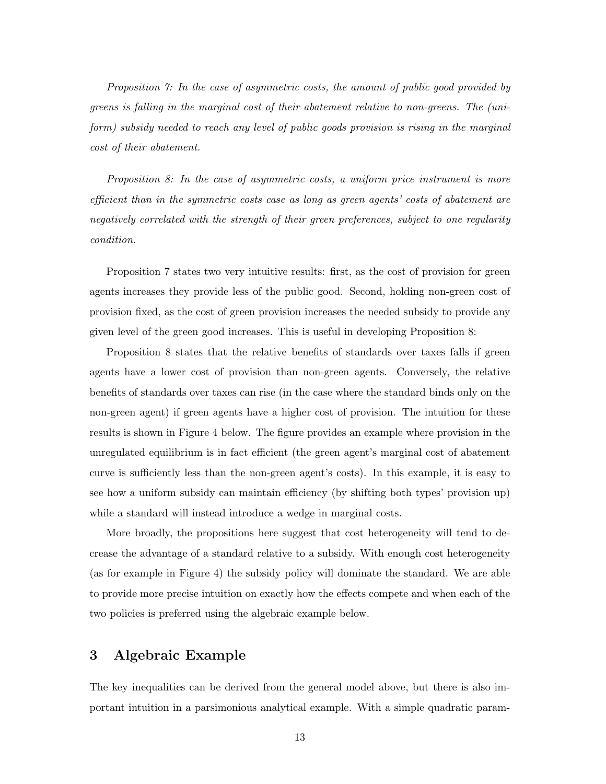Proposition 7: In the case of asymmetric costs, the amount of public good provided by greens is falling in the marginal cost of their abatement relative to non-greens. The (uniform) subsidy needed to reach any level of public goods provision is rising in the marginal cost of their abatement.

Proposition 8: In the case of asymmetric costs, a uniform price instrument is more efficient than in the symmetric costs case as long as green agents' costs of abatement are negatively correlated with the strength of their green preferences, subject to one regularity condition.

Proposition 7 states two very intuitive results: first, as the cost of provision for green agents increases they provide less of the public good. Second, holding non-green cost of provision fixed, as the cost of green provision increases the needed subsidy to provide any given level of the green good increases. This is useful in developing Proposition 8:

Proposition 8 states that the relative benefits of standards over taxes falls if green agents have a lower cost of provision than non-green agents. Conversely, the relative benefits of standards over taxes can rise (in the case where the standard binds only on the non-green agent) if green agents have a higher cost of provision. The intuition for these results is shown in Figure 4 below. The figure provides an example where provision in the unregulated equilibrium is in fact efficient (the green agent's marginal cost of abatement curve is sufficiently less than the non-green agent's costs). In this example, it is easy to see how a uniform subsidy can maintain efficiency (by shifting both types' provision up) while a standard will instead introduce a wedge in marginal costs.

More broadly, the propositions here suggest that cost heterogeneity will tend to decrease the advantage of a standard relative to a subsidy. With enough cost heterogeneity (as for example in Figure 4) the subsidy policy will dominate the standard. We are able to provide more precise intuition on exactly how the effects compete and when each of the two policies is preferred using the algebraic example below.

# 3 Algebraic Example

The key inequalities can be derived from the general model above, but there is also important intuition in a parsimonious analytical example. With a simple quadratic param-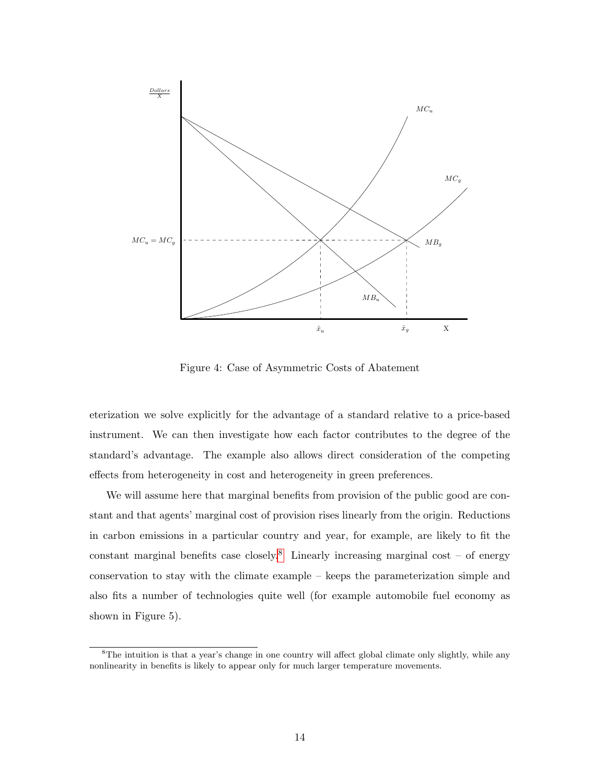

Figure 4: Case of Asymmetric Costs of Abatement

eterization we solve explicitly for the advantage of a standard relative to a price-based instrument. We can then investigate how each factor contributes to the degree of the standard's advantage. The example also allows direct consideration of the competing effects from heterogeneity in cost and heterogeneity in green preferences.

We will assume here that marginal benefits from provision of the public good are constant and that agents' marginal cost of provision rises linearly from the origin. Reductions in carbon emissions in a particular country and year, for example, are likely to fit the constant marginal benefits case closely.<sup>[8](#page-13-0)</sup> Linearly increasing marginal cost – of energy conservation to stay with the climate example – keeps the parameterization simple and also fits a number of technologies quite well (for example automobile fuel economy as shown in Figure 5).

<span id="page-13-0"></span><sup>&</sup>lt;sup>8</sup>The intuition is that a year's change in one country will affect global climate only slightly, while any nonlinearity in benefits is likely to appear only for much larger temperature movements.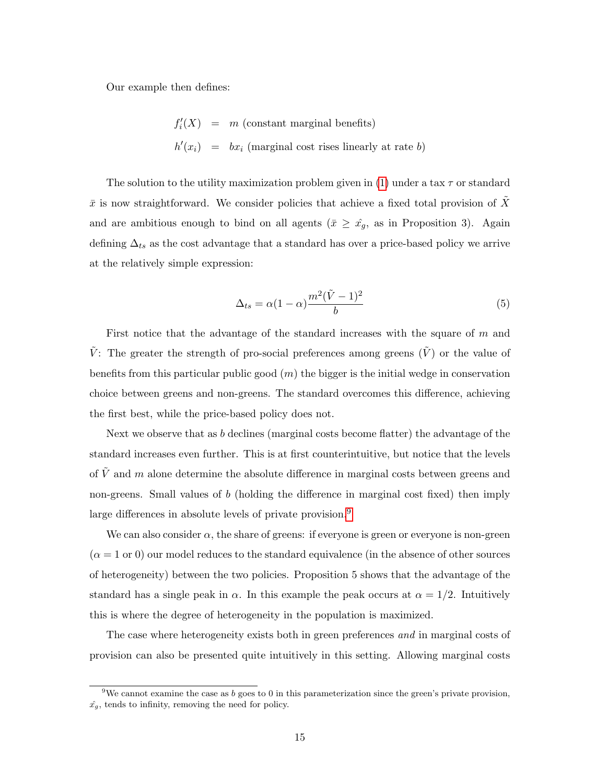Our example then defines:

$$
f'_{i}(X) = m \text{ (constant marginal benefits)}
$$
  

$$
h'(x_{i}) = bx_{i} \text{ (marginal cost rises linearly at rate } b)
$$

The solution to the utility maximization problem given in [\(1\)](#page-3-0) under a tax  $\tau$  or standard  $\bar{x}$  is now straightforward. We consider policies that achieve a fixed total provision of X and are ambitious enough to bind on all agents ( $\bar{x} \geq \hat{x}_g$ , as in Proposition 3). Again defining  $\Delta_{ts}$  as the cost advantage that a standard has over a price-based policy we arrive at the relatively simple expression:

$$
\Delta_{ts} = \alpha (1 - \alpha) \frac{m^2 (\tilde{V} - 1)^2}{b} \tag{5}
$$

First notice that the advantage of the standard increases with the square of  $m$  and  $\tilde{V}$ : The greater the strength of pro-social preferences among greens  $(\tilde{V})$  or the value of benefits from this particular public good  $(m)$  the bigger is the initial wedge in conservation choice between greens and non-greens. The standard overcomes this difference, achieving the first best, while the price-based policy does not.

Next we observe that as b declines (marginal costs become flatter) the advantage of the standard increases even further. This is at first counterintuitive, but notice that the levels of  $\tilde{V}$  and m alone determine the absolute difference in marginal costs between greens and non-greens. Small values of  $b$  (holding the difference in marginal cost fixed) then imply large differences in absolute levels of private provision.<sup>[9](#page-14-0)</sup>

We can also consider  $\alpha$ , the share of greens: if everyone is green or everyone is non-green  $(\alpha = 1 \text{ or } 0)$  our model reduces to the standard equivalence (in the absence of other sources of heterogeneity) between the two policies. Proposition 5 shows that the advantage of the standard has a single peak in  $\alpha$ . In this example the peak occurs at  $\alpha = 1/2$ . Intuitively this is where the degree of heterogeneity in the population is maximized.

The case where heterogeneity exists both in green preferences *and* in marginal costs of provision can also be presented quite intuitively in this setting. Allowing marginal costs

<span id="page-14-0"></span><sup>&</sup>lt;sup>9</sup>We cannot examine the case as b goes to 0 in this parameterization since the green's private provision,  $\hat{x_g}$ , tends to infinity, removing the need for policy.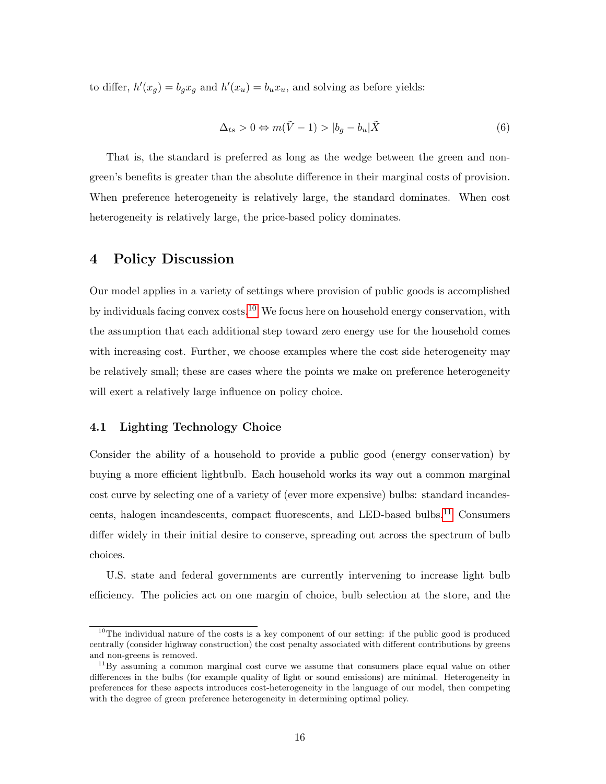to differ,  $h'(x_g) = b_g x_g$  and  $h'(x_u) = b_u x_u$ , and solving as before yields:

$$
\Delta_{ts} > 0 \Leftrightarrow m(\tilde{V} - 1) > |b_g - b_u|\tilde{X}
$$
\n(6)

That is, the standard is preferred as long as the wedge between the green and nongreen's benefits is greater than the absolute difference in their marginal costs of provision. When preference heterogeneity is relatively large, the standard dominates. When cost heterogeneity is relatively large, the price-based policy dominates.

## 4 Policy Discussion

Our model applies in a variety of settings where provision of public goods is accomplished by individuals facing convex  $\cos^{-10}$  $\cos^{-10}$  $\cos^{-10}$  We focus here on household energy conservation, with the assumption that each additional step toward zero energy use for the household comes with increasing cost. Further, we choose examples where the cost side heterogeneity may be relatively small; these are cases where the points we make on preference heterogeneity will exert a relatively large influence on policy choice.

## 4.1 Lighting Technology Choice

Consider the ability of a household to provide a public good (energy conservation) by buying a more efficient lightbulb. Each household works its way out a common marginal cost curve by selecting one of a variety of (ever more expensive) bulbs: standard incandes-cents, halogen incandescents, compact fluorescents, and LED-based bulbs.<sup>[11](#page-15-1)</sup> Consumers differ widely in their initial desire to conserve, spreading out across the spectrum of bulb choices.

U.S. state and federal governments are currently intervening to increase light bulb efficiency. The policies act on one margin of choice, bulb selection at the store, and the

<span id="page-15-0"></span> $10$ The individual nature of the costs is a key component of our setting: if the public good is produced centrally (consider highway construction) the cost penalty associated with different contributions by greens and non-greens is removed.

<span id="page-15-1"></span> $11\,\text{By assuming a common marginal cost curve we assume that consumers place equal value on other$ differences in the bulbs (for example quality of light or sound emissions) are minimal. Heterogeneity in preferences for these aspects introduces cost-heterogeneity in the language of our model, then competing with the degree of green preference heterogeneity in determining optimal policy.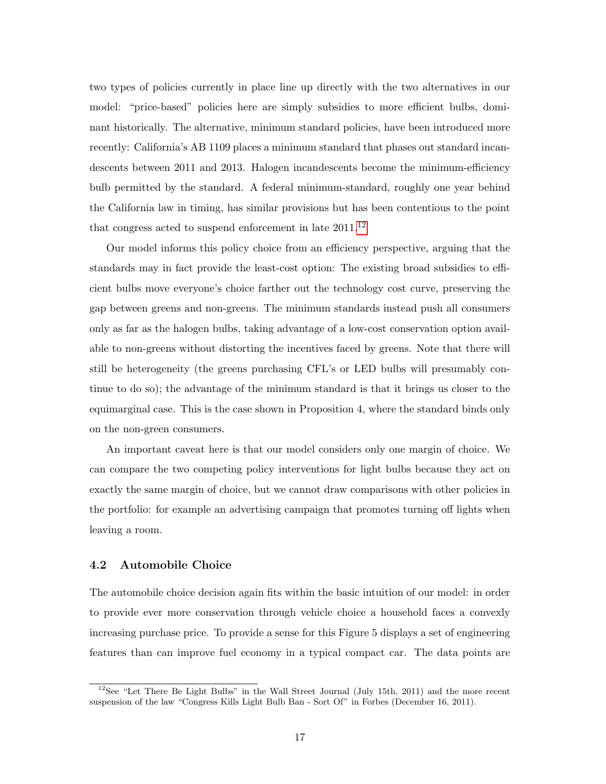two types of policies currently in place line up directly with the two alternatives in our model: "price-based" policies here are simply subsidies to more efficient bulbs, dominant historically. The alternative, minimum standard policies, have been introduced more recently: California's AB 1109 places a minimum standard that phases out standard incandescents between 2011 and 2013. Halogen incandescents become the minimum-efficiency bulb permitted by the standard. A federal minimum-standard, roughly one year behind the California law in timing, has similar provisions but has been contentious to the point that congress acted to suspend enforcement in late 2011.[12](#page-16-0)

Our model informs this policy choice from an efficiency perspective, arguing that the standards may in fact provide the least-cost option: The existing broad subsidies to efficient bulbs move everyone's choice farther out the technology cost curve, preserving the gap between greens and non-greens. The minimum standards instead push all consumers only as far as the halogen bulbs, taking advantage of a low-cost conservation option available to non-greens without distorting the incentives faced by greens. Note that there will still be heterogeneity (the greens purchasing CFL's or LED bulbs will presumably continue to do so); the advantage of the minimum standard is that it brings us closer to the equimarginal case. This is the case shown in Proposition 4, where the standard binds only on the non-green consumers.

An important caveat here is that our model considers only one margin of choice. We can compare the two competing policy interventions for light bulbs because they act on exactly the same margin of choice, but we cannot draw comparisons with other policies in the portfolio: for example an advertising campaign that promotes turning off lights when leaving a room.

#### 4.2 Automobile Choice

The automobile choice decision again fits within the basic intuition of our model: in order to provide ever more conservation through vehicle choice a household faces a convexly increasing purchase price. To provide a sense for this Figure 5 displays a set of engineering features than can improve fuel economy in a typical compact car. The data points are

<span id="page-16-0"></span> $12$ See "Let There Be Light Bulbs" in the Wall Street Journal (July 15th, 2011) and the more recent suspension of the law "Congress Kills Light Bulb Ban - Sort Of" in Forbes (December 16, 2011).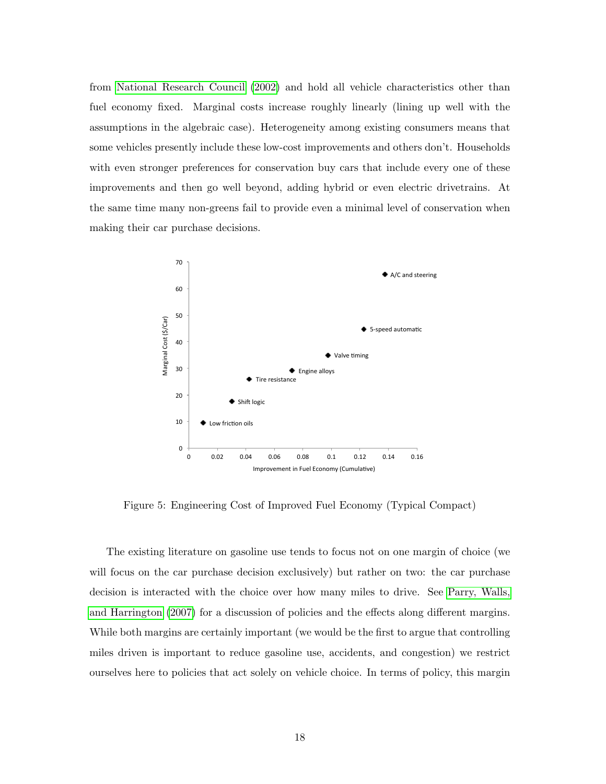from [National Research Council](#page-21-9) [\(2002\)](#page-21-9) and hold all vehicle characteristics other than fuel economy fixed. Marginal costs increase roughly linearly (lining up well with the assumptions in the algebraic case). Heterogeneity among existing consumers means that some vehicles presently include these low-cost improvements and others don't. Households with even stronger preferences for conservation buy cars that include every one of these improvements and then go well beyond, adding hybrid or even electric drivetrains. At the same time many non-greens fail to provide even a minimal level of conservation when making their car purchase decisions.



Figure 5: Engineering Cost of Improved Fuel Economy (Typical Compact)

The existing literature on gasoline use tends to focus not on one margin of choice (we will focus on the car purchase decision exclusively) but rather on two: the car purchase decision is interacted with the choice over how many miles to drive. See [Parry, Walls,](#page-22-2) [and Harrington](#page-22-2) [\(2007\)](#page-22-2) for a discussion of policies and the effects along different margins. While both margins are certainly important (we would be the first to argue that controlling miles driven is important to reduce gasoline use, accidents, and congestion) we restrict ourselves here to policies that act solely on vehicle choice. In terms of policy, this margin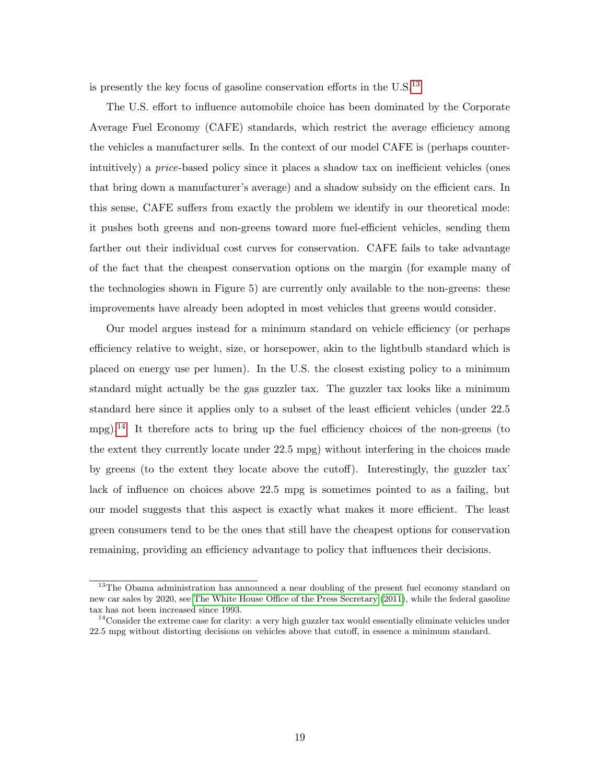is presently the key focus of gasoline conservation efforts in the  $U.S.$ <sup>[13](#page-18-0)</sup>

The U.S. effort to influence automobile choice has been dominated by the Corporate Average Fuel Economy (CAFE) standards, which restrict the average efficiency among the vehicles a manufacturer sells. In the context of our model CAFE is (perhaps counterintuitively) a price-based policy since it places a shadow tax on inefficient vehicles (ones that bring down a manufacturer's average) and a shadow subsidy on the efficient cars. In this sense, CAFE suffers from exactly the problem we identify in our theoretical mode: it pushes both greens and non-greens toward more fuel-efficient vehicles, sending them farther out their individual cost curves for conservation. CAFE fails to take advantage of the fact that the cheapest conservation options on the margin (for example many of the technologies shown in Figure 5) are currently only available to the non-greens: these improvements have already been adopted in most vehicles that greens would consider.

Our model argues instead for a minimum standard on vehicle efficiency (or perhaps efficiency relative to weight, size, or horsepower, akin to the lightbulb standard which is placed on energy use per lumen). In the U.S. the closest existing policy to a minimum standard might actually be the gas guzzler tax. The guzzler tax looks like a minimum standard here since it applies only to a subset of the least efficient vehicles (under 22.5 mpg).<sup>[14](#page-18-1)</sup> It therefore acts to bring up the fuel efficiency choices of the non-greens (to the extent they currently locate under 22.5 mpg) without interfering in the choices made by greens (to the extent they locate above the cutoff). Interestingly, the guzzler tax' lack of influence on choices above 22.5 mpg is sometimes pointed to as a failing, but our model suggests that this aspect is exactly what makes it more efficient. The least green consumers tend to be the ones that still have the cheapest options for conservation remaining, providing an efficiency advantage to policy that influences their decisions.

<span id="page-18-0"></span><sup>&</sup>lt;sup>13</sup>The Obama administration has announced a near doubling of the present fuel economy standard on new car sales by 2020, see [The White House Office of the Press Secretary](#page-22-3) [\(2011\)](#page-22-3), while the federal gasoline tax has not been increased since 1993.

<span id="page-18-1"></span><sup>&</sup>lt;sup>14</sup>Consider the extreme case for clarity: a very high guzzler tax would essentially eliminate vehicles under 22.5 mpg without distorting decisions on vehicles above that cutoff, in essence a minimum standard.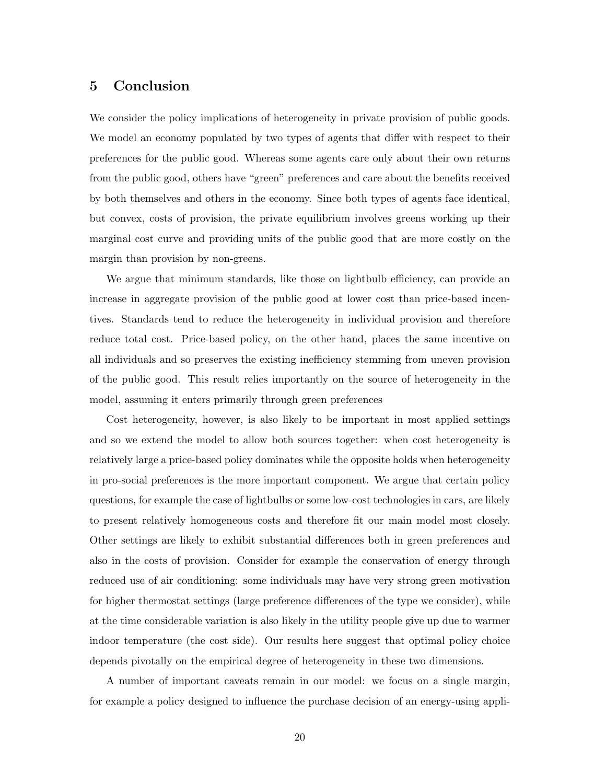## 5 Conclusion

We consider the policy implications of heterogeneity in private provision of public goods. We model an economy populated by two types of agents that differ with respect to their preferences for the public good. Whereas some agents care only about their own returns from the public good, others have "green" preferences and care about the benefits received by both themselves and others in the economy. Since both types of agents face identical, but convex, costs of provision, the private equilibrium involves greens working up their marginal cost curve and providing units of the public good that are more costly on the margin than provision by non-greens.

We argue that minimum standards, like those on lightbulb efficiency, can provide an increase in aggregate provision of the public good at lower cost than price-based incentives. Standards tend to reduce the heterogeneity in individual provision and therefore reduce total cost. Price-based policy, on the other hand, places the same incentive on all individuals and so preserves the existing inefficiency stemming from uneven provision of the public good. This result relies importantly on the source of heterogeneity in the model, assuming it enters primarily through green preferences

Cost heterogeneity, however, is also likely to be important in most applied settings and so we extend the model to allow both sources together: when cost heterogeneity is relatively large a price-based policy dominates while the opposite holds when heterogeneity in pro-social preferences is the more important component. We argue that certain policy questions, for example the case of lightbulbs or some low-cost technologies in cars, are likely to present relatively homogeneous costs and therefore fit our main model most closely. Other settings are likely to exhibit substantial differences both in green preferences and also in the costs of provision. Consider for example the conservation of energy through reduced use of air conditioning: some individuals may have very strong green motivation for higher thermostat settings (large preference differences of the type we consider), while at the time considerable variation is also likely in the utility people give up due to warmer indoor temperature (the cost side). Our results here suggest that optimal policy choice depends pivotally on the empirical degree of heterogeneity in these two dimensions.

A number of important caveats remain in our model: we focus on a single margin, for example a policy designed to influence the purchase decision of an energy-using appli-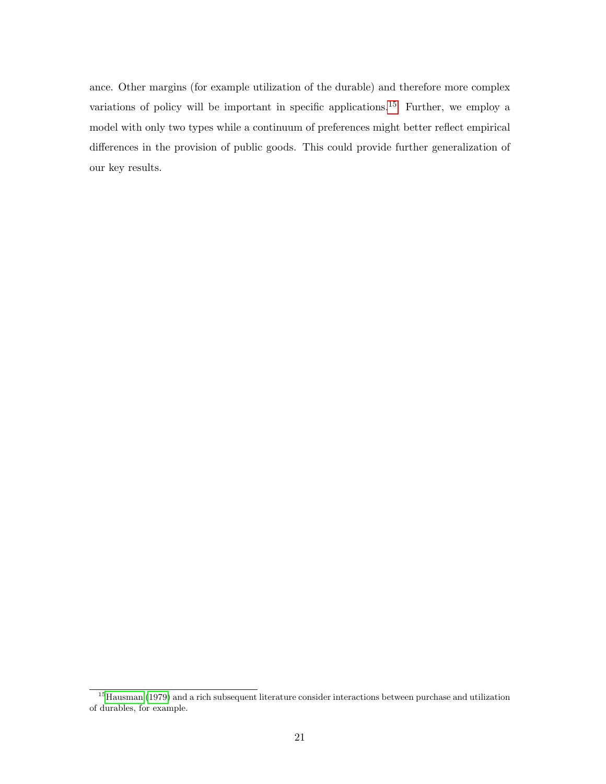ance. Other margins (for example utilization of the durable) and therefore more complex variations of policy will be important in specific applications.<sup>[15](#page-20-0)</sup> Further, we employ a model with only two types while a continuum of preferences might better reflect empirical differences in the provision of public goods. This could provide further generalization of our key results.

<span id="page-20-0"></span><sup>15</sup>[Hausman](#page-21-10) [\(1979\)](#page-21-10) and a rich subsequent literature consider interactions between purchase and utilization of durables, for example.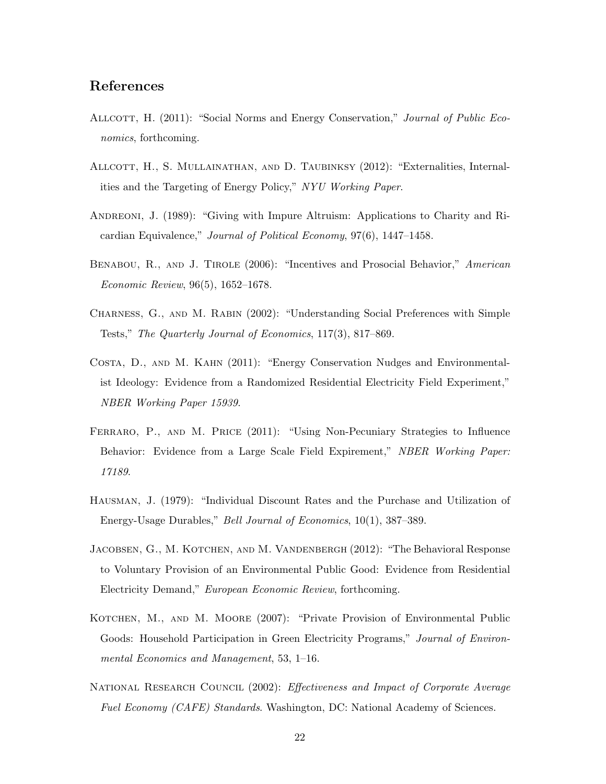# References

- <span id="page-21-3"></span>ALLCOTT, H. (2011): "Social Norms and Energy Conservation," *Journal of Public Eco*nomics, forthcoming.
- <span id="page-21-8"></span>Allcott, H., S. Mullainathan, and D. Taubinksy (2012): "Externalities, Internalities and the Targeting of Energy Policy," NYU Working Paper.
- <span id="page-21-2"></span>Andreoni, J. (1989): "Giving with Impure Altruism: Applications to Charity and Ricardian Equivalence," Journal of Political Economy, 97(6), 1447–1458.
- <span id="page-21-7"></span>BENABOU, R., AND J. TIROLE (2006): "Incentives and Prosocial Behavior," American Economic Review, 96(5), 1652–1678.
- <span id="page-21-6"></span>Charness, G., and M. Rabin (2002): "Understanding Social Preferences with Simple Tests," The Quarterly Journal of Economics, 117(3), 817–869.
- <span id="page-21-0"></span>Costa, D., and M. Kahn (2011): "Energy Conservation Nudges and Environmentalist Ideology: Evidence from a Randomized Residential Electricity Field Experiment," NBER Working Paper 15939.
- <span id="page-21-4"></span>Ferraro, P., and M. Price (2011): "Using Non-Pecuniary Strategies to Influence Behavior: Evidence from a Large Scale Field Expirement," NBER Working Paper: 17189.
- <span id="page-21-10"></span>Hausman, J. (1979): "Individual Discount Rates and the Purchase and Utilization of Energy-Usage Durables," Bell Journal of Economics, 10(1), 387–389.
- <span id="page-21-1"></span>JACOBSEN, G., M. KOTCHEN, AND M. VANDENBERGH (2012): "The Behavioral Response to Voluntary Provision of an Environmental Public Good: Evidence from Residential Electricity Demand," European Economic Review, forthcoming.
- <span id="page-21-5"></span>KOTCHEN, M., AND M. MOORE (2007): "Private Provision of Environmental Public Goods: Household Participation in Green Electricity Programs," Journal of Environmental Economics and Management, 53, 1–16.
- <span id="page-21-9"></span>NATIONAL RESEARCH COUNCIL (2002): Effectiveness and Impact of Corporate Average Fuel Economy (CAFE) Standards. Washington, DC: National Academy of Sciences.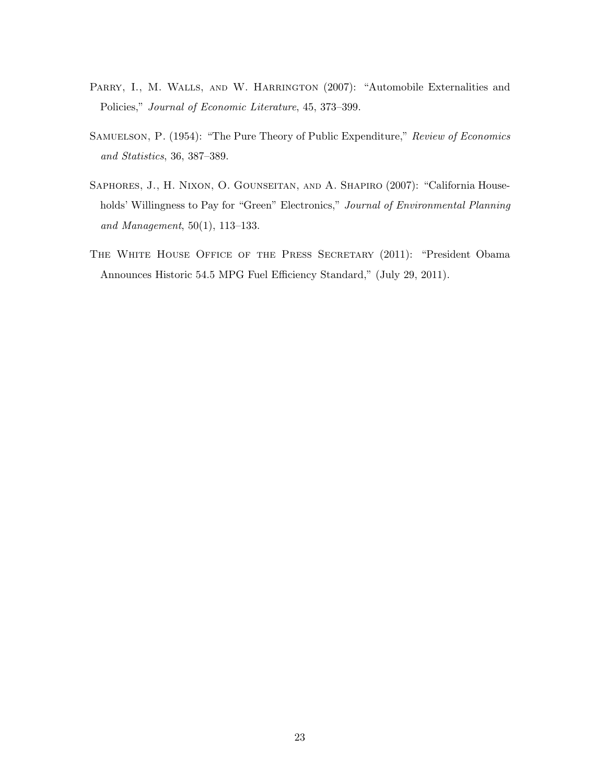- <span id="page-22-2"></span>PARRY, I., M. WALLS, AND W. HARRINGTON (2007): "Automobile Externalities and Policies," Journal of Economic Literature, 45, 373–399.
- <span id="page-22-1"></span>SAMUELSON, P. (1954): "The Pure Theory of Public Expenditure," Review of Economics and Statistics, 36, 387–389.
- <span id="page-22-0"></span>SAPHORES, J., H. NIXON, O. GOUNSEITAN, AND A. SHAPIRO (2007): "California Households' Willingness to Pay for "Green" Electronics," Journal of Environmental Planning and Management, 50(1), 113–133.
- <span id="page-22-3"></span>THE WHITE HOUSE OFFICE OF THE PRESS SECRETARY (2011): "President Obama Announces Historic 54.5 MPG Fuel Efficiency Standard," (July 29, 2011).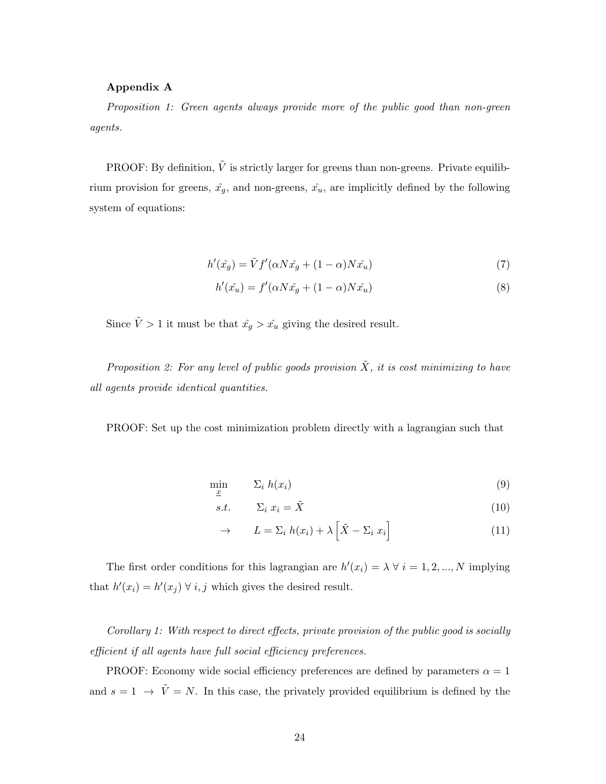## Appendix A

Proposition 1: Green agents always provide more of the public good than non-green agents.

PROOF: By definition,  $\tilde{V}$  is strictly larger for greens than non-greens. Private equilibrium provision for greens,  $\hat{x}_g$ , and non-greens,  $\hat{x}_u$ , are implicitly defined by the following system of equations:

$$
h'(\hat{x_g}) = \tilde{V}f'(\alpha N \hat{x_g} + (1 - \alpha)N \hat{x_u})
$$
\n(7)

$$
h'(\hat{x_u}) = f'(\alpha N \hat{x_g} + (1 - \alpha) N \hat{x_u})
$$
\n(8)

Since  $\tilde{V} > 1$  it must be that  $\hat{x}_g > \hat{x}_u$  giving the desired result.

Proposition 2: For any level of public goods provision  $\tilde{X}$ , it is cost minimizing to have all agents provide identical quantities.

PROOF: Set up the cost minimization problem directly with a lagrangian such that

$$
\min_{\underline{x}} \qquad \Sigma_i \; h(x_i) \tag{9}
$$

$$
s.t. \qquad \Sigma_i \ x_i = \tilde{X} \tag{10}
$$

$$
\rightarrow \qquad L = \Sigma_i \ h(x_i) + \lambda \left[ \tilde{X} - \Sigma_i \ x_i \right] \tag{11}
$$

The first order conditions for this lagrangian are  $h'(x_i) = \lambda \forall i = 1, 2, ..., N$  implying that  $h'(x_i) = h'(x_j) \ \forall \ i, j$  which gives the desired result.

Corollary 1: With respect to direct effects, private provision of the public good is socially efficient if all agents have full social efficiency preferences.

PROOF: Economy wide social efficiency preferences are defined by parameters  $\alpha = 1$ and  $s = 1 \rightarrow \tilde{V} = N$ . In this case, the privately provided equilibrium is defined by the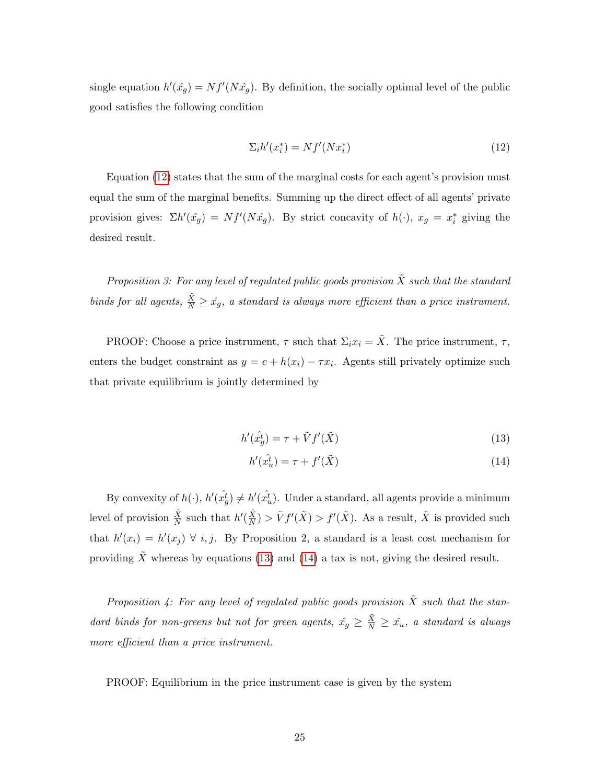single equation  $h'(\hat{x}_g) = Nf'(N\hat{x}_g)$ . By definition, the socially optimal level of the public good satisfies the following condition

<span id="page-24-0"></span>
$$
\Sigma_i h'(x_i^*) = Nf'(Nx_i^*)\tag{12}
$$

Equation [\(12\)](#page-24-0) states that the sum of the marginal costs for each agent's provision must equal the sum of the marginal benefits. Summing up the direct effect of all agents' private provision gives:  $\Sigma h'(\hat{x_g}) = Nf'(N\hat{x_g})$ . By strict concavity of  $h(\cdot)$ ,  $x_g = x_i^*$  giving the desired result.

Proposition 3: For any level of regulated public goods provision  $\tilde{X}$  such that the standard binds for all agents,  $\frac{\tilde{X}}{N} \geq \hat{x_g}$ , a standard is always more efficient than a price instrument.

PROOF: Choose a price instrument,  $\tau$  such that  $\Sigma_i x_i = \tilde{X}$ . The price instrument,  $\tau$ , enters the budget constraint as  $y = c + h(x_i) - \tau x_i$ . Agents still privately optimize such that private equilibrium is jointly determined by

<span id="page-24-1"></span>
$$
h'(\hat{x}_g^t) = \tau + \tilde{V}f'(\tilde{X})
$$
\n(13)

$$
h'(\hat{x}_u^t) = \tau + f'(\tilde{X})
$$
\n(14)

By convexity of  $h(\cdot)$ ,  $h'(\hat{x_g^t}) \neq h'(\hat{x_u^t})$ . Under a standard, all agents provide a minimum level of provision  $\frac{\tilde{X}}{N}$  such that  $h'(\frac{\tilde{X}}{N})$  $\frac{\tilde{X}}{N}$  >  $\tilde{V}f'(\tilde{X}) > f'(\tilde{X})$ . As a result,  $\tilde{X}$  is provided such that  $h'(x_i) = h'(x_j) \ \forall \ i, j$ . By Proposition 2, a standard is a least cost mechanism for providing  $\tilde{X}$  whereas by equations [\(13\)](#page-24-1) and [\(14\)](#page-24-1) a tax is not, giving the desired result.

Proposition 4: For any level of regulated public goods provision  $\tilde{X}$  such that the standard binds for non-greens but not for green agents,  $\hat{x_g} \geq \frac{\tilde{X}}{N} \geq \hat{x_u}$ , a standard is always more efficient than a price instrument.

PROOF: Equilibrium in the price instrument case is given by the system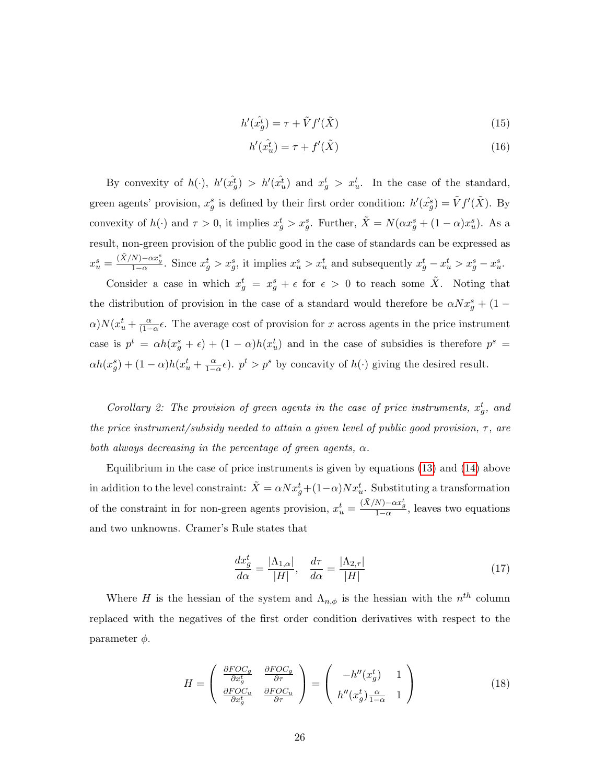$$
h'(\hat{x}_g^t) = \tau + \tilde{V}f'(\tilde{X})
$$
\n(15)

$$
h'(\hat{x}_u^t) = \tau + f'(\tilde{X})
$$
\n(16)

By convexity of  $h(\cdot)$ ,  $h'(\hat{x}_g^t) > h'(\hat{x}_u^t)$  and  $x_g^t > x_u^t$ . In the case of the standard, green agents' provision,  $x_g^s$  is defined by their first order condition:  $h'(\hat{x}_g^s) = \tilde{V}f'(\tilde{X})$ . By convexity of  $h(\cdot)$  and  $\tau > 0$ , it implies  $x_g^t > x_g^s$ . Further,  $\tilde{X} = N(\alpha x_g^s + (1 - \alpha)x_u^s)$ . As a result, non-green provision of the public good in the case of standards can be expressed as  $x_u^s = \frac{(\tilde{X}/N) - \alpha x_g^s}{1-\alpha}$ . Since  $x_g^t > x_g^s$ , it implies  $x_u^s > x_u^t$  and subsequently  $x_g^t - x_u^t > x_g^s - x_u^s$ .

Consider a case in which  $x_g^t = x_g^s + \epsilon$  for  $\epsilon > 0$  to reach some  $\tilde{X}$ . Noting that the distribution of provision in the case of a standard would therefore be  $\alpha N x_g^s + (1 \alpha$ ) $N(x_u^t + \frac{\alpha}{(1 - \alpha)}$  $\frac{\alpha}{(1-\alpha)}\epsilon$ . The average cost of provision for x across agents in the price instrument case is  $p^t = \alpha h(x_g^s + \epsilon) + (1 - \alpha)h(x_u^t)$  and in the case of subsidies is therefore  $p^s =$  $\alpha h(x_g^s) + (1-\alpha)h(x_u^t + \frac{\alpha}{1-\alpha}\epsilon)$ .  $p^t > p^s$  by concavity of  $h(\cdot)$  giving the desired result.

Corollary 2: The provision of green agents in the case of price instruments,  $x_g^t$ , and the price instrument/subsidy needed to attain a given level of public good provision,  $\tau$ , are both always decreasing in the percentage of green agents,  $\alpha$ .

Equilibrium in the case of price instruments is given by equations [\(13\)](#page-24-1) and [\(14\)](#page-24-1) above in addition to the level constraint:  $\tilde{X} = \alpha N x_g^t + (1-\alpha)Nx_u^t$ . Substituting a transformation of the constraint in for non-green agents provision,  $x_u^t = \frac{(\tilde{X}/N) - \alpha x_g^t}{1 - \alpha}$ , leaves two equations and two unknowns. Cramer's Rule states that

$$
\frac{dx_g^t}{d\alpha} = \frac{|\Lambda_{1,\alpha}|}{|H|}, \quad \frac{d\tau}{d\alpha} = \frac{|\Lambda_{2,\tau}|}{|H|} \tag{17}
$$

Where H is the hessian of the system and  $\Lambda_{n,\phi}$  is the hessian with the  $n^{th}$  column replaced with the negatives of the first order condition derivatives with respect to the parameter  $\phi$ .

$$
H = \begin{pmatrix} \frac{\partial FOC_g}{\partial x_g^t} & \frac{\partial FOC_g}{\partial \tau} \\ \frac{\partial FOC_u}{\partial x_g^t} & \frac{\partial FOC_u}{\partial \tau} \end{pmatrix} = \begin{pmatrix} -h''(x_g^t) & 1 \\ h''(x_g^t) \frac{\alpha}{1-\alpha} & 1 \end{pmatrix}
$$
(18)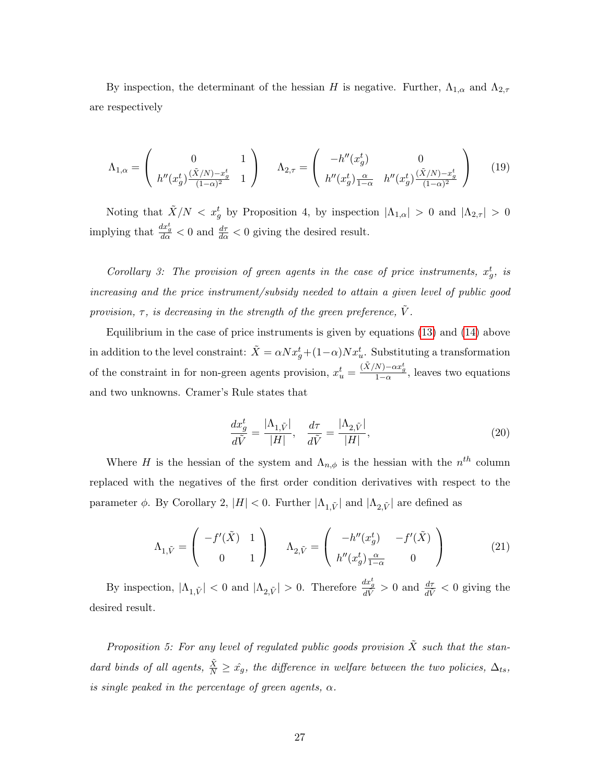By inspection, the determinant of the hessian H is negative. Further,  $\Lambda_{1,\alpha}$  and  $\Lambda_{2,\tau}$ are respectively

$$
\Lambda_{1,\alpha} = \begin{pmatrix} 0 & 1 \\ h''(x_g^t) \frac{(\tilde{X}/N) - x_g^t}{(1 - \alpha)^2} & 1 \end{pmatrix} \quad \Lambda_{2,\tau} = \begin{pmatrix} -h''(x_g^t) & 0 \\ h''(x_g^t) \frac{\alpha}{1 - \alpha} & h''(x_g^t) \frac{(\tilde{X}/N) - x_g^t}{(1 - \alpha)^2} \end{pmatrix}
$$
(19)

Noting that  $\tilde{X}/N < x_g^t$  by Proposition 4, by inspection  $|\Lambda_{1,\alpha}| > 0$  and  $|\Lambda_{2,\tau}| > 0$ implying that  $\frac{dx_g^t}{d\alpha} < 0$  and  $\frac{d\tau}{d\alpha} < 0$  giving the desired result.

Corollary 3: The provision of green agents in the case of price instruments,  $x_g^t$ , is increasing and the price instrument/subsidy needed to attain a given level of public good provision,  $\tau$ , is decreasing in the strength of the green preference,  $\tilde{V}$ .

Equilibrium in the case of price instruments is given by equations [\(13\)](#page-24-1) and [\(14\)](#page-24-1) above in addition to the level constraint:  $\tilde{X} = \alpha N x_g^t + (1-\alpha)Nx_u^t$ . Substituting a transformation of the constraint in for non-green agents provision,  $x_u^t = \frac{(\tilde{X}/N) - \alpha x_g^t}{1 - \alpha}$ , leaves two equations and two unknowns. Cramer's Rule states that

$$
\frac{dx_g^t}{d\tilde{V}} = \frac{|\Lambda_{1,\tilde{V}}|}{|H|}, \quad \frac{d\tau}{d\tilde{V}} = \frac{|\Lambda_{2,\tilde{V}}|}{|H|},\tag{20}
$$

Where H is the hessian of the system and  $\Lambda_{n,\phi}$  is the hessian with the  $n^{th}$  column replaced with the negatives of the first order condition derivatives with respect to the parameter  $\phi$ . By Corollary 2,  $|H| < 0$ . Further  $|\Lambda_{1,\tilde{V}}|$  and  $|\Lambda_{2,\tilde{V}}|$  are defined as

$$
\Lambda_{1,\tilde{V}} = \begin{pmatrix} -f'(\tilde{X}) & 1 \\ 0 & 1 \end{pmatrix} \qquad \Lambda_{2,\tilde{V}} = \begin{pmatrix} -h''(x_g^t) & -f'(\tilde{X}) \\ h''(x_g^t) \frac{\alpha}{1-\alpha} & 0 \end{pmatrix}
$$
(21)

By inspection,  $|\Lambda_{1,\tilde{V}}| < 0$  and  $|\Lambda_{2,\tilde{V}}| > 0$ . Therefore  $\frac{dx_g^t}{d\tilde{V}} > 0$  and  $\frac{d\tau}{d\tilde{V}} < 0$  giving the desired result.

Proposition 5: For any level of regulated public goods provision  $\tilde{X}$  such that the standard binds of all agents,  $\frac{\tilde{X}}{N} \geq \hat{x}_g$ , the difference in welfare between the two policies,  $\Delta_{ts}$ , is single peaked in the percentage of green agents,  $\alpha$ .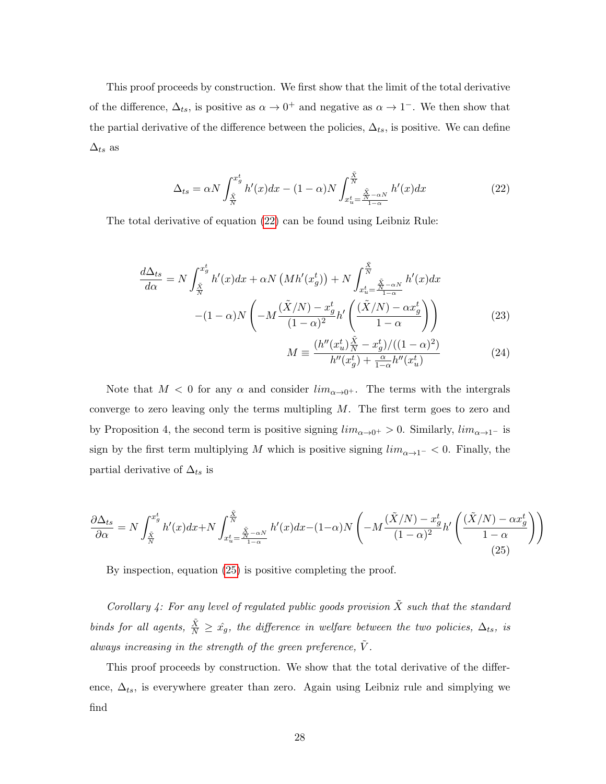This proof proceeds by construction. We first show that the limit of the total derivative of the difference,  $\Delta_{ts}$ , is positive as  $\alpha \to 0^+$  and negative as  $\alpha \to 1^-$ . We then show that the partial derivative of the difference between the policies,  $\Delta_{ts}$ , is positive. We can define  $\Delta_{ts}$  as

<span id="page-27-0"></span>
$$
\Delta_{ts} = \alpha N \int_{\frac{\tilde{X}}{N}}^{x_g^t} h'(x) dx - (1 - \alpha) N \int_{x_u^t}^{\frac{\tilde{X}}{N}} \frac{\tilde{X}}{1 - \alpha} h'(x) dx \tag{22}
$$

The total derivative of equation [\(22\)](#page-27-0) can be found using Leibniz Rule:

$$
\frac{d\Delta_{ts}}{d\alpha} = N \int_{\frac{\tilde{X}}{N}}^{x_g^t} h'(x) dx + \alpha N \left( M h'(x_g^t) \right) + N \int_{x_u^t = \frac{\tilde{X}}{N} - \alpha N}^{\frac{\tilde{X}}{N}} h'(x) dx
$$

$$
- (1 - \alpha) N \left( -M \frac{(\tilde{X}/N) - x_g^t}{(1 - \alpha)^2} h' \left( \frac{(\tilde{X}/N) - \alpha x_g^t}{1 - \alpha} \right) \right)
$$
(23)

$$
M \equiv \frac{(h''(x_u^t)\frac{\tilde{X}}{N} - x_g^t) / ((1 - \alpha)^2)}{h''(x_g^t) + \frac{\alpha}{1 - \alpha} h''(x_u^t)}
$$
(24)

Note that  $M < 0$  for any  $\alpha$  and consider  $\lim_{\alpha \to 0^+}$ . The terms with the intergrals converge to zero leaving only the terms multipling  $M$ . The first term goes to zero and by Proposition 4, the second term is positive signing  $\lim_{\alpha\to 0^+}$  > 0. Similarly,  $\lim_{\alpha\to 1^-}$  is sign by the first term multiplying M which is positive signing  $\lim_{\alpha \to 1^-}$  < 0. Finally, the partial derivative of  $\Delta_{ts}$  is

<span id="page-27-1"></span>
$$
\frac{\partial \Delta_{ts}}{\partial \alpha} = N \int_{\frac{\tilde{X}}{N}}^{x_g^t} h'(x) dx + N \int_{x_u^t = \frac{\tilde{X}}{N - \alpha N}}^{\frac{\tilde{X}}{N}} h'(x) dx - (1 - \alpha) N \left( -M \frac{(\tilde{X}/N) - x_g^t}{(1 - \alpha)^2} h' \left( \frac{(\tilde{X}/N) - \alpha x_g^t}{1 - \alpha} \right) \right)
$$
\n(25)

By inspection, equation [\(25\)](#page-27-1) is positive completing the proof.

Corollary 4: For any level of regulated public goods provision  $\tilde{X}$  such that the standard binds for all agents,  $\frac{\tilde{X}}{N} \geq \hat{x}_g$ , the difference in welfare between the two policies,  $\Delta_{ts}$ , is always increasing in the strength of the green preference,  $\tilde{V}$ .

This proof proceeds by construction. We show that the total derivative of the difference,  $\Delta_{ts}$ , is everywhere greater than zero. Again using Leibniz rule and simplying we find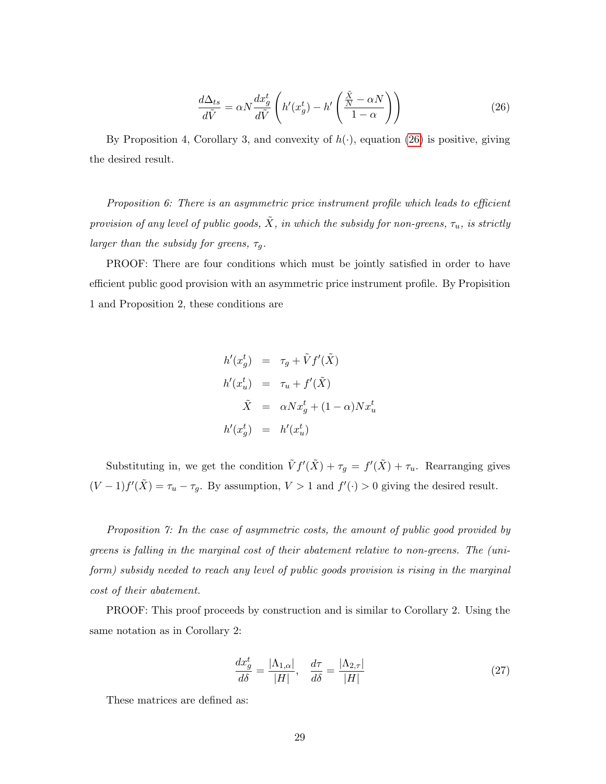<span id="page-28-0"></span>
$$
\frac{d\Delta_{ts}}{d\tilde{V}} = \alpha N \frac{dx_g^t}{d\tilde{V}} \left( h'(x_g^t) - h'\left(\frac{\tilde{X}}{1-\alpha}\right) \right) \tag{26}
$$

By Proposition 4, Corollary 3, and convexity of  $h(\cdot)$ , equation [\(26\)](#page-28-0) is positive, giving the desired result.

Proposition 6: There is an asymmetric price instrument profile which leads to efficient provision of any level of public goods,  $\tilde{X}$ , in which the subsidy for non-greens,  $\tau_u$ , is strictly larger than the subsidy for greens,  $\tau_g$ .

PROOF: There are four conditions which must be jointly satisfied in order to have efficient public good provision with an asymmetric price instrument profile. By Propisition 1 and Proposition 2, these conditions are

$$
h'(x_g^t) = \tau_g + \tilde{V}f'(\tilde{X})
$$
  
\n
$$
h'(x_u^t) = \tau_u + f'(\tilde{X})
$$
  
\n
$$
\tilde{X} = \alpha N x_g^t + (1 - \alpha) N x_u^t
$$
  
\n
$$
h'(x_g^t) = h'(x_u^t)
$$

Substituting in, we get the condition  $\tilde{V} f'(\tilde{X}) + \tau_g = f'(\tilde{X}) + \tau_u$ . Rearranging gives  $(V-1)f'(\tilde{X}) = \tau_u - \tau_g$ . By assumption,  $V > 1$  and  $f'(\cdot) > 0$  giving the desired result.

Proposition 7: In the case of asymmetric costs, the amount of public good provided by greens is falling in the marginal cost of their abatement relative to non-greens. The (uniform) subsidy needed to reach any level of public goods provision is rising in the marginal cost of their abatement.

PROOF: This proof proceeds by construction and is similar to Corollary 2. Using the same notation as in Corollary 2:

$$
\frac{dx_g^t}{d\delta} = \frac{|\Lambda_{1,\alpha}|}{|H|}, \quad \frac{d\tau}{d\delta} = \frac{|\Lambda_{2,\tau}|}{|H|} \tag{27}
$$

These matrices are defined as: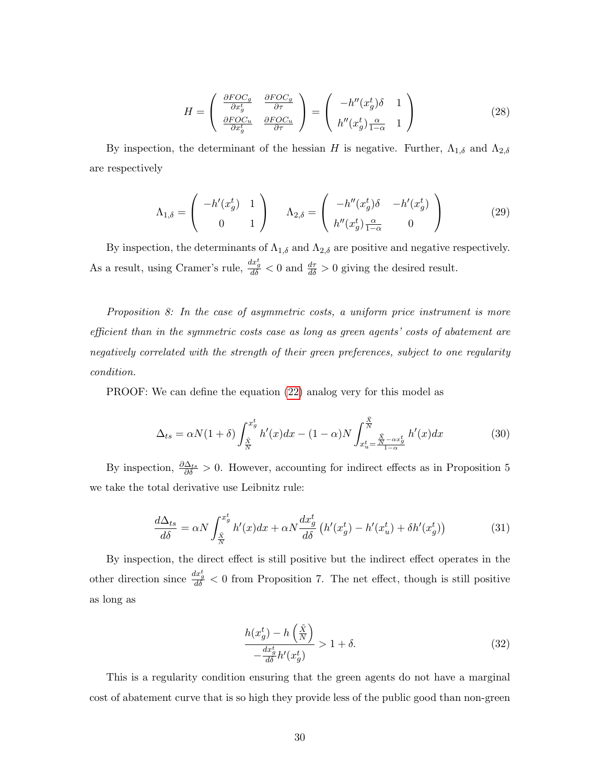$$
H = \begin{pmatrix} \frac{\partial FOC_g}{\partial x_g^t} & \frac{\partial FOC_g}{\partial \tau} \\ \frac{\partial FOC_u}{\partial x_g^t} & \frac{\partial FOC_u}{\partial \tau} \end{pmatrix} = \begin{pmatrix} -h''(x_g^t)\delta & 1 \\ h''(x_g^t)\frac{\alpha}{1-\alpha} & 1 \end{pmatrix}
$$
(28)

By inspection, the determinant of the hessian H is negative. Further,  $\Lambda_{1,\delta}$  and  $\Lambda_{2,\delta}$ are respectively

$$
\Lambda_{1,\delta} = \begin{pmatrix} -h'(x_g^t) & 1\\ 0 & 1 \end{pmatrix} \qquad \Lambda_{2,\delta} = \begin{pmatrix} -h''(x_g^t)\delta & -h'(x_g^t)\\ h''(x_g^t)\frac{\alpha}{1-\alpha} & 0 \end{pmatrix}
$$
(29)

By inspection, the determinants of  $\Lambda_{1,\delta}$  and  $\Lambda_{2,\delta}$  are positive and negative respectively. As a result, using Cramer's rule,  $\frac{dx_g^t}{d\delta} < 0$  and  $\frac{d\tau}{d\delta} > 0$  giving the desired result.

Proposition 8: In the case of asymmetric costs, a uniform price instrument is more efficient than in the symmetric costs case as long as green agents' costs of abatement are negatively correlated with the strength of their green preferences, subject to one regularity condition.

PROOF: We can define the equation [\(22\)](#page-27-0) analog very for this model as

$$
\Delta_{ts} = \alpha N(1+\delta) \int_{\frac{\tilde{X}}{N}}^{x_g^t} h'(x) dx - (1-\alpha) N \int_{x_u^t = \frac{\tilde{X}}{N} - \alpha x_g^t}^{\frac{\tilde{X}}{N}} h'(x) dx
$$
(30)

By inspection,  $\frac{\partial \Delta_{ts}}{\partial \delta} > 0$ . However, accounting for indirect effects as in Proposition 5 we take the total derivative use Leibnitz rule:

$$
\frac{d\Delta_{ts}}{d\delta} = \alpha N \int_{\frac{\tilde{X}}{N}}^{x_g^t} h'(x) dx + \alpha N \frac{dx_g^t}{d\delta} \left( h'(x_g^t) - h'(x_u^t) + \delta h'(x_g^t) \right) \tag{31}
$$

By inspection, the direct effect is still positive but the indirect effect operates in the other direction since  $\frac{dx_g^t}{d\delta} < 0$  from Proposition 7. The net effect, though is still positive as long as

$$
\frac{h(x_g^t) - h\left(\frac{\tilde{X}}{N}\right)}{-\frac{dx_g^t}{d\delta}h'(x_g^t)} > 1 + \delta. \tag{32}
$$

This is a regularity condition ensuring that the green agents do not have a marginal cost of abatement curve that is so high they provide less of the public good than non-green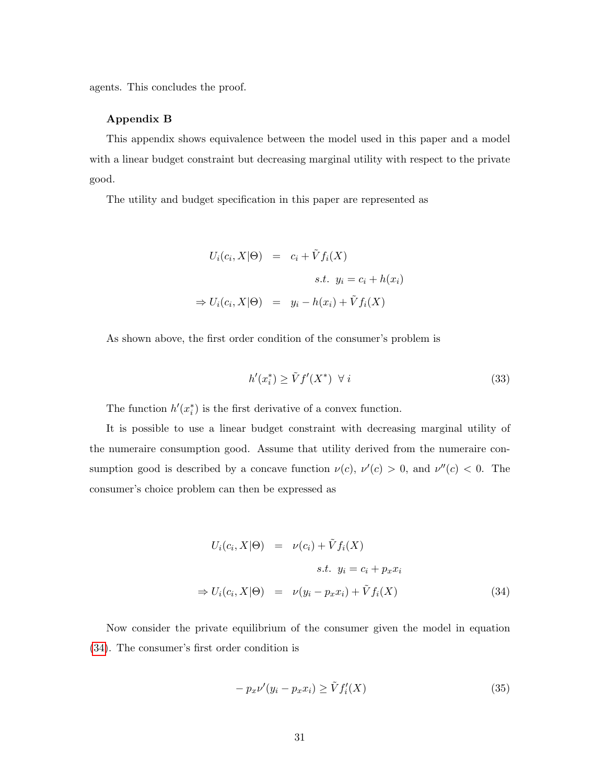agents. This concludes the proof.

## Appendix B

This appendix shows equivalence between the model used in this paper and a model with a linear budget constraint but decreasing marginal utility with respect to the private good.

The utility and budget specification in this paper are represented as

<span id="page-30-2"></span>
$$
U_i(c_i, X | \Theta) = c_i + \tilde{V} f_i(X)
$$
  
s.t.  $y_i = c_i + h(x_i)$   

$$
\Rightarrow U_i(c_i, X | \Theta) = y_i - h(x_i) + \tilde{V} f_i(X)
$$

As shown above, the first order condition of the consumer's problem is

$$
h'(x_i^*) \ge \tilde{V}f'(X^*) \quad \forall \ i
$$
\n<sup>(33)</sup>

The function  $h'(x_i^*)$  is the first derivative of a convex function.

It is possible to use a linear budget constraint with decreasing marginal utility of the numeraire consumption good. Assume that utility derived from the numeraire consumption good is described by a concave function  $\nu(c)$ ,  $\nu'(c) > 0$ , and  $\nu''(c) < 0$ . The consumer's choice problem can then be expressed as

<span id="page-30-0"></span>
$$
U_i(c_i, X | \Theta) = \nu(c_i) + \tilde{V} f_i(X)
$$
  
s.t.  $y_i = c_i + p_x x_i$   

$$
\Rightarrow U_i(c_i, X | \Theta) = \nu(y_i - p_x x_i) + \tilde{V} f_i(X)
$$
 (34)

Now consider the private equilibrium of the consumer given the model in equation [\(34\)](#page-30-0). The consumer's first order condition is

<span id="page-30-1"></span>
$$
- p_x \nu'(y_i - p_x x_i) \ge \tilde{V} f'_i(X) \tag{35}
$$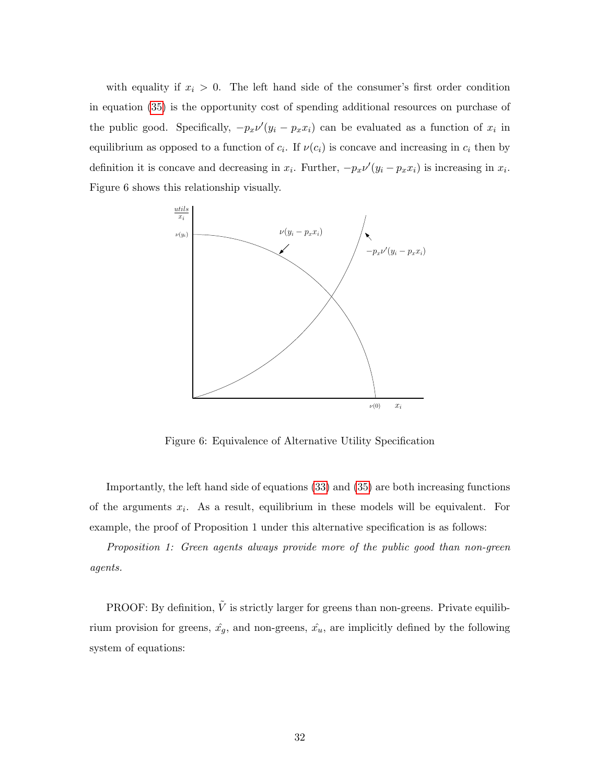with equality if  $x_i > 0$ . The left hand side of the consumer's first order condition in equation [\(35\)](#page-30-1) is the opportunity cost of spending additional resources on purchase of the public good. Specifically,  $-p_x\nu'(y_i - p_x x_i)$  can be evaluated as a function of  $x_i$  in equilibrium as opposed to a function of  $c_i$ . If  $\nu(c_i)$  is concave and increasing in  $c_i$  then by definition it is concave and decreasing in  $x_i$ . Further,  $-p_x\nu'(y_i - p_x x_i)$  is increasing in  $x_i$ . Figure 6 shows this relationship visually.



Figure 6: Equivalence of Alternative Utility Specification

Importantly, the left hand side of equations [\(33\)](#page-30-2) and [\(35\)](#page-30-1) are both increasing functions of the arguments  $x_i$ . As a result, equilibrium in these models will be equivalent. For example, the proof of Proposition 1 under this alternative specification is as follows:

Proposition 1: Green agents always provide more of the public good than non-green agents.

PROOF: By definition,  $\tilde{V}$  is strictly larger for greens than non-greens. Private equilibrium provision for greens,  $\hat{x_g}$ , and non-greens,  $\hat{x_u}$ , are implicitly defined by the following system of equations: